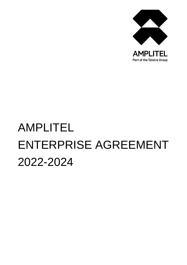

# AMPLITEL ENTERPRISE AGREEMENT 2022-2024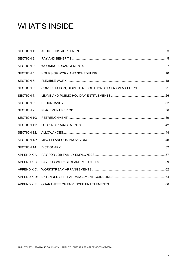# **WHAT'S INSIDE**

| <b>SECTION 1:</b>  |  |
|--------------------|--|
| SECTION 2:         |  |
| SECTION 3:         |  |
| <b>SECTION 4:</b>  |  |
| SECTION 5:         |  |
| <b>SECTION 6:</b>  |  |
| <b>SECTION 7:</b>  |  |
| <b>SECTION 8:</b>  |  |
| <b>SECTION 9:</b>  |  |
| <b>SECTION 10:</b> |  |
| SECTION 11:        |  |
| SECTION 12:        |  |
| <b>SECTION 13:</b> |  |
| SECTION 14:        |  |
| APPENDIX A:        |  |
| APPENDIX B:        |  |
| APPENDIX C:        |  |
| APPENDIX D:        |  |
| <b>APPENDIX E:</b> |  |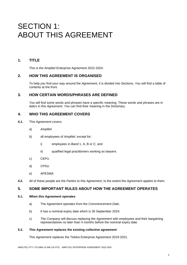# SECTION 1: ABOUT THIS AGREEMENT

# **1. TITLE**

This is the Amplitel Enterprise Agreement 2022-2024.

# **2. HOW THIS AGREEMENT IS ORGANISED**

To help *you* find your way around the *Agreement*, it is divided into Sections. *You* will find a table of contents at the front.

# **3. HOW CERTAIN WORDS/PHRASES ARE DEFINED**

*You* will find some words and phrases have a specific meaning. These words and phrases are in *italics* in this *Agreement*. *You* can find their meaning in the Dictionary.

### **4. WHO THIS AGREEMENT COVERS**

- **4.1.** This *Agreement* covers:
	- a) *Amplitel*
	- b) all employees of *Amplitel*, except for:
		- i) employees in *Band* 1, A, B or C; and
		- ii) qualified legal practitioners working as lawyers
	- c) CEPU
	- d) CPSU
	- e) APESMA
- **4.2.** All of these people are the *Parties* to this *Agreement*, to the extent the *Agreement* applies to them.

# **5. SOME IMPORTANT RULES ABOUT HOW THE AGREEMENT OPERATES**

#### **5.1. When this Agreement operates**

- a) The Agreement operates from the *Commencement Date*.
- b) It has a nominal expiry date which is 30 September 2024.
- c) *The Company* will discuss replacing the *Agreement* with employees and their bargaining representatives no later than 4 months before the nominal expiry date.

#### **5.2. This Agreement replaces the existing collective agreement**

This *Agreement* replaces the Telstra Enterprise Agreement 2019-2021.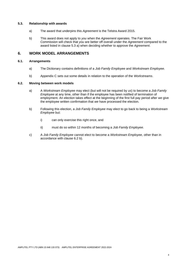#### **5.3. Relationship with awards**

- a) The award that underpins this *Agreement* is the Telstra Award 2015.
- b) This award does not apply to *you* when the *Agreement* operates. The Fair Work Commission will check that *you* are better off overall under the *Agreement* compared to the award listed in clause 5.3 a) when deciding whether to approve the *Agreement*.

# **6. WORK MODEL ARRANGEMENTS**

### **6.1. Arrangements**

- a) The Dictionary contains definitions of a *Job Family Employee* and *Workstream Employee*.
- b) Appendix C sets out some details in relation to the operation of the *Workstreams*.

#### **6.2. Moving between work models**

- a) A *Workstream Employee* may elect (but will not be required by *us*) to become a *Job Family Employee* at any time, other than if the employee has been notified of termination of employment. An election takes effect at the beginning of the first full pay period after *we* give the employee written confirmation that *we* have processed the election.
- b) Following this election, a *Job Family Employee* may elect to go back to being a *Workstream Employee* but:
	- i) can only exercise this right once, and
	- ii) must do so within 12 months of becoming a *Job Family Employee*.
- c) A *Job Family Employee* cannot elect to become a *Workstream Employee*, other than in accordance with clause 6.2 b).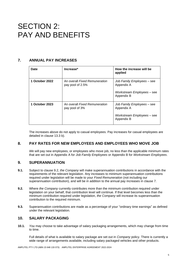# SECTION 2: PAY AND BENEFITS

# **7. ANNUAL PAY INCREASES**

| Date           | Increase*                                         | How the increase will be<br>applied                                                  |
|----------------|---------------------------------------------------|--------------------------------------------------------------------------------------|
| 1 October 2022 | An overall Fixed Remuneration<br>pay pool of 2.5% | Job Family Employees – see<br>Appendix A<br>Workstream Employees – see<br>Appendix B |
| 1 October 2023 | An overall Fixed Remuneration<br>pay pool of 3%   | Job Family Employees – see<br>Appendix A<br>Workstream Employees – see<br>Appendix B |

The increases above do not apply to casual employees. Pay increases for casual employees are detailed in clause 13.3 b).

# **8. PAY RATES FOR NEW EMPLOYEES AND EMPLOYEES WHO MOVE JOB**

*We* will pay new employees, or employees who move job, no less than the applicable minimum rates that are set out in Appendix A for *Job Family Employees* or Appendix B for *Workstream Employees*.

# **9. SUPERANNUATION**

- **9.1.** Subject to clause 9.2, *the Company* will make superannuation contributions in accordance with the requirements of the relevant legislation. Any increases to minimum superannuation contributions required under legislation will be made to your *Fixed Remuneration* (not including our superannuation contribution), and will be in addition to the annual pay increases in clause 7.
- **9.2.** Where *the Company* currently contributes more than the minimum contribution required under legislation on your behalf, that contribution level will continue. If that level becomes less than the minimum contribution required under legislation, *the Company* will increase its superannuation contribution to the required minimum.
- **9.3.** Superannuation contributions are made as a percentage of your "ordinary time earnings" as defined under the relevant legislation.

# **10. SALARY PACKAGING**

**10.1.** *You* may choose to take advantage of salary packaging arrangements, which may change from time to time.

Full details of what is available to salary package are set out in *Company* policy. There is currently a wide range of arrangements available, including salary packaged vehicles and other products.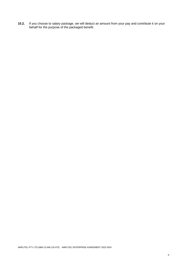**10.2.** If *you* choose to salary package, *we* will deduct an amount from your pay and contribute it on your behalf for the purpose of the packaged benefit.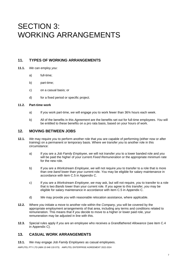# SECTION 3: WORKING ARRANGEMENTS

# **11. TYPES OF WORKING ARRANGEMENTS**

- **11.1.** *We* can employ *you*:
	- a) full-time;
	- b) part-time;
	- c) on a casual basis; or
	- d) for a fixed period or specific project.

### **11.2. Part-time work**

- a) If *you* work part-time, *we* will engage *you* to work fewer than 36¾ hours each week.
- b) All of the benefits in this *Agreement* are the benefits set out for full-time employees. *You* will be entitled to these benefits on a pro rata basis, based on your hours of work.

# **12. MOVING BETWEEN JOBS**

- **12.1.** *We* may require *you* to perform another role that *you* are capable of performing (either now or after training) on a permanent or temporary basis. Where *we* transfer *you* to another role in this circumstance:
	- a) If *you* are a *Job Family Employee*, *we* will not transfer *you* to a lower banded role and *you* will be paid the higher of your current *Fixed Remuneration* or the appropriate minimum rate for the new role.
	- b) If *you* are a *Workstream Employee*, *we* will not require *you* to transfer to a role that is more than one *band* lower than your current role. *You* may be eligible for salary maintenance in accordance with item C.5 in Appendix C.
	- c) If *you* are a *Workstream Employee*, *we* may ask, but will not require, *you* to transfer to a role that is two *Bands* lower than your current role. If *you* agree to this transfer, *you* may be eligible for salary maintenance in accordance with item C.5 in Appendix C.
	- d) *We* may provide *you* with reasonable relocation assistance, where applicable.
- **12.2.** Where *you* initiate a move to another role within the *Company*, *you* will be covered by the appropriate employment arrangements of that area, including any terms and conditions related to remuneration. This means that if *you* decide to move to a higher or lower paid role, your remuneration may be adjusted in line with this.
- **12.3.** Special rules apply if *you* are an employee who receives a *Grandfathered Allowance* (see item C.4 in Appendix C).

# **13. CASUAL WORK ARRANGEMENTS**

**13.1.** W*e* may engage *Job Family Employees* as casual employees.

AMPLITEL PTY LTD (ABN 15 648 133 073) AMPLITEL ENTERPRISE AGREEMENT 2022-2024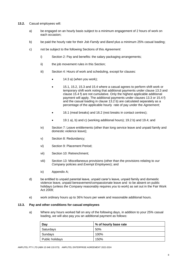- **13.2.** Casual employees will:
	- a) be engaged on an hourly basis subject to a minimum engagement of 2 hours of work on each occasion;
	- b) be paid the hourly rate for their *Job Family* and *Band* plus a minimum 25% casual loading;
	- c) not be subject to the following Sections of this *Agreement*:
		- i) Section 2: Pay and benefits: the salary packaging arrangements;
		- ii) the job movement rules in this Section;
		- iii) Section 4: Hours of work and scheduling, except for clauses:
			- 14.3 a) (when you work);
			- 15.1, 15.2, 15.3 and 15.4 where a casual agrees to perform shift work or temporary shift work noting that additional payments under clause 13.3 and clause 15.4 f) are not cumulative. Only the highest applicable additional payment will apply. The additional payments under clauses 13.3 or 15.4 f) and the casual loading in clause 13.2 b) are calculated separately as a percentage of the applicable hourly rate of pay under the *Agreement*;
			- 16.1 (meal breaks) and 16.2 (rest breaks in contact centres);
			- 19.1 a), b) and c) (working additional hours); 19.2 b) and 19.4; and
		- iv) Section 7: Leave entitlements (other than long service leave and unpaid family and domestic violence leave);
		- v) Section 8: Redundancy;
		- vi) Section 9: Placement Period;
		- vii) Section 10: Retrenchment;
		- viii) Section 13: Miscellaneous provisions (other than the provisions relating to *our Company* policies and *Exempt Employees*); and
		- ix) Appendix A;
	- d) be entitled to unpaid parental leave, unpaid carer's leave, unpaid family and domestic violence leave, unpaid bereavement/compassionate leave and to be absent on public holidays (unless *the Company* reasonably requires *you* to work) as set out in the Fair Work Act 2009;
	- e) work ordinary hours up to 36¾ hours per week and reasonable additional hours.

#### **13.3. Pay and other conditions for casual employees**

a) Where any hours worked fall on any of the following days, in addition to your 25% casual loading, *we* will also pay *you* an additional payment as follows:

| Day             | % of hourly base rate |
|-----------------|-----------------------|
| Saturdays       | 50%                   |
| Sundays         | 100%                  |
| Public holidays | 150%                  |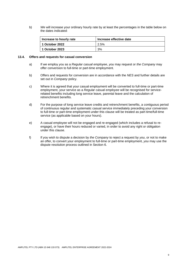b) *We* will increase your ordinary hourly rate by at least the percentages in the table below on the dates indicated:

| Increase to hourly rate | Increase effective date |  |
|-------------------------|-------------------------|--|
| 1 October 2022          | 2.5%                    |  |
| 1 October 2023          | 3%                      |  |

#### **13.4. Offers and requests for casual conversion**

- a) If *we* employ *you* as a *Regular casual employee*, *you* may request or *the Company* may offer conversion to full-time or part-time employment.
- b) Offers and requests for conversion are in accordance with the *NES* and further details are set out in *Company* policy.
- c) Where it is agreed that your casual employment will be converted to full-time or part-time employment, your service as a *Regular casual employee* will be recognised for servicerelated benefits including long service leave, parental leave and the calculation of retrenchment benefits.
- d) For the purpose of long service leave credits and retrenchment benefits, a contiguous period of continuous regular and systematic casual service immediately preceding your conversion to full-time or part-time employment under this clause will be treated as part-time/full-time service (as applicable based on your hours).
- e) A casual employee will not be engaged and re-engaged (which includes a refusal to reengage), or have their hours reduced or varied, in order to avoid any right or obligation under this clause.
- f) If *you* wish to dispute a decision by *the Company* to reject a request by *you*, or not to make an offer, to convert your employment to full-time or part-time employment, *you* may use the dispute resolution process outlined in Section 6.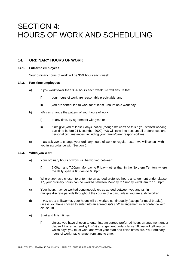# SECTION 4: HOURS OF WORK AND SCHEDULING

# **14. ORDINARY HOURS OF WORK**

#### **14.1. Full-time employees**

Your ordinary hours of work will be 36¾ hours each week.

#### **14.2. Part-time employees**

- a) If *you* work fewer than 36¾ hours each week, *we* will ensure that:
	- i) your hours of work are reasonably predictable, and
	- ii) *you* are scheduled to work for at least 3 hours on a work day.
- b) *We* can change the pattern of your hours of work:
	- i) at any time, by agreement with *you*, or
	- ii) if *we* give *you* at least 7 days' notice (though *we* can't do this if *you* started working part-time before 21 December 2000). *We* will take into account all preferences and personal circumstances, including your family/carer responsibilities.
- c) If *we* ask *you* to change your ordinary hours of work or regular roster, *we* will consult with *you* in accordance with Section 6.

#### **14.3. When** *you* **work**

- a) Your ordinary hours of work will be worked between:
	- i) 7:00am and 7:00pm, Monday to Friday other than in the Northern Territory where the daily span is 6:30am to 6:30pm.
- b) Where *you* have chosen to enter into an agreed preferred hours arrangement under clause 17, your ordinary hours can be worked between Monday to Sunday – 6:00am to 11:00pm.
- c) Your hours may be worked continuously or, as agreed between *you* and *us*, in multiple discrete periods throughout the course of a day, unless *you* are a shiftworker.
- d) If *you* are a shiftworker, your hours will be worked continuously (except for meal breaks), unless *you* have chosen to enter into an agreed *split shift* arrangement in accordance with clause 18.
- e) Start and finish times
	- i) Unless *you* have chosen to enter into an agreed preferred hours arrangement under clause 17 or an agreed *split shift* arrangement under clause 18, *we* will tell *you* on which days *you* must work and what your start and finish times are. Your ordinary hours of work may change from time to time.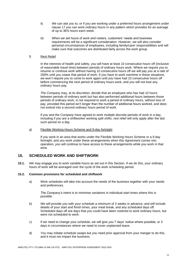- ii) *We* can ask *you* to, or if *you* are working under a preferred hours arrangement under clause 17 *you* can work ordinary hours in any pattern which provides for an average of up to 36¾ hours each week.
- iii) When *we* set hours of work and rosters, customers' needs and business requirements will be a significant consideration. However, *we* will also consider personal circumstances of employees, including family/carer responsibilities and will make sure that outcomes are distributed fairly across the work group.

#### f) Rest Relief

In the interests of health and safety, *you* will have at least 10 consecutive hours off (inclusive of reasonable travel time) between periods of ordinary hours work. Where *we* require *you* to resume or continue work without having 10 consecutive hours off *we* will pay *you* at a rate of 200% until *you* cease that period of work. If *you* have to work overtime in these situations, *we* won't require *you* to come to work again until *you* have had 10 consecutive hours off before commencing the next period of ordinary hours work, and *you* will not lose any ordinary hours pay.

*The Company* may, at its discretion, decide that an employee who has had 10 hours between periods of ordinary work but has also performed additional hours between those periods of ordinary work, is not required to work a period of ordinary hours, without loss of pay, provided this period isn't longer than the number of additional hours worked, and does not extend into a second ordinary hours period of work.

If *you* and *the Company* have agreed to work multiple discrete periods of work in a day, including if *you* are a shiftworker working *split shifts*, rest relief will only apply after the last such period on a day.

#### g) Flexible Working Hours Scheme and 9-day fortnight

If *you* work in an area that works under the Flexible Working Hours Scheme or a 9 day fortnight, and *you* work under these arrangements when this *Agreement* comes into operation, *you* will continue to have access to these arrangements while *you* work in that area.

### **15. SCHEDULED WORK AND SHIFTWORK**

**15.1.** *We* may engage *you* to work variable hours as set out in this Section. If *we* do this, your ordinary hours of work will be averaged over the cycle of the work scheduling period.

#### **15.2. Common provisions for scheduled and shiftwork**

a) Work schedules will take into account the needs of the business together with your needs and preferences.

*The Company's* intent is to minimise variations in individual start times where this is possible.

- b) *We* will provide *you* with your schedule a minimum of 2 weeks in advance, and will include details of your start and finish times, your meal break, and any scheduled days off. Scheduled days off are days that *you* could have been rostered to work ordinary hours, but were not scheduled to work.
- c) If *we* need to change your schedule, *we* will give *you* 7 days' notice where possible, or 3 days in circumstances where *we* need to cover unplanned leave.
- d) *You* may initiate schedule swaps but *you* need prior approval from your manger to do this, and it must not impact the business.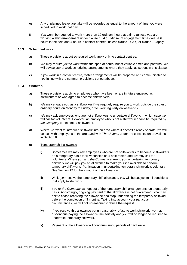- e) Any unplanned leave *you* take will be recorded as equal to the amount of time *you* were scheduled to work that day.
- f) *You* won't be required to work more than 10 ordinary hours at a time (unless *you* are working a shift arrangement under clause 15.4 g). Minimum engagement times will be 6 hours in the field and 4 hours in contact centres, unless clause 14.3 c) or clause 18 apply.

#### **15.3. Scheduled work**

- a) These provisions about scheduled work apply only to contact centres.
- b) *We* may require *you* to work within the span of hours, but at variable times and patterns. *We*  will advise *you* of work scheduling arrangements where they apply, as set out in this clause.
- c) If *you* work in a contact centre, roster arrangements will be prepared and communicated to *you* in line with the common provisions set out above.

#### **15.4. Shiftwork**

- a) These provisions apply to employees who have been or are in future engaged as shiftworkers or who agree to become shiftworkers.
- b) *We* may engage *you* as a shiftworker if *we* regularly require *you* to work outside the span of ordinary hours on Monday to Friday, or to work regularly on weekends.
- c) *We* may ask employees who are not shiftworkers to undertake shiftwork, in which case *we*  will call for volunteers. However, an employee who is not a shiftworker can't be required by *the Company* to become a shiftworker.
- d) Where *we* want to introduce shiftwork into an area where it doesn't already operate, *we* will consult with employees in the area and with *The Unions*, under the consultation provisions in Section 6.

#### e) Temporary shift allowance

- i) Sometimes *we* may ask employees who are not shiftworkers to become shiftworkers on a temporary basis to fill vacancies on a shift roster, and *we* may call for volunteers. Where *you* and *the Company* agree to *you* undertaking temporary shiftwork *we* will pay *you* an allowance to make yourself available to perform temporary shift work. Participation in undertaking temporary shiftwork is voluntary. See Section 12 for the amount of the allowance.
- ii) While *you* receive the temporary shift allowance, *you* will be subject to all conditions that apply to shiftwork.
- iii) *You* or *the Company* can opt out of the temporary shift arrangements on a quarterly basis. Accordingly, ongoing payment of the allowance is not guaranteed. *You* may ask to cease receiving the allowance and stop undertaking the temporary shiftwork before the completion of 3 months. Taking into account your particular circumstances, *we* will not unreasonably refuse the request.
- iv) If *you* receive this allowance but unreasonably refuse to work shiftwork, *we* may discontinue paying the allowance immediately and *you* will no longer be required to undertake temporary shiftwork.
- v) Payment of the allowance will continue during periods of paid leave.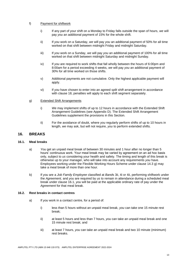#### f) Payment for shiftwork

- i) If any part of your shift on a Monday to Friday falls outside the span of hours, *we* will pay *you* an additional payment of 15% for the whole shift.
- ii) If *you* work on a Saturday, *we* will pay *you* an additional payment of 50% for all time worked on that shift between midnight Friday and midnight Saturday.
- iii) If *you* work on a Sunday, *we* will pay *you* an additional payment of 100% for all time worked on that shift between midnight Saturday and midnight Sunday.
- iv) If *you* are required to work shifts that fall wholly between the hours of 6:00pm and 8:00am for a period exceeding 4 weeks, *we* will pay *you* an additional payment of 30% for all time worked on those shifts.
- v) Additional payments are not cumulative. Only the highest applicable payment will apply.
- vi) If *you* have chosen to enter into an agreed *split shift* arrangement in accordance with clause 18, penalties will apply to each shift segment separately.

#### g) Extended Shift Arrangements

- i) *We* may implement shifts of up to 12 hours in accordance with the Extended Shift Arrangement Guidelines (see Appendix D). The Extended Shift Arrangement Guidelines supplement the provisions in this Section.
- ii) For the avoidance of doubt, where *you* regularly perform shifts of up to 10 hours in length, *we* may ask, but will not require, *you* to perform extended shifts.

### **16. BREAKS**

#### **16.1. Meal breaks**

- a) *You* get an unpaid meal break of between 30 minutes and 1 hour after no longer than 5 hours' continuous work. Your meal break may be varied by agreement on an ad hoc basis only, subject to *us* considering your health and safety. The timing and length of this break is otherwise up to your manager, who will take into account any requirements *you* have. Employees working under the Flexible Working Hours Scheme under clause 14.3 g) may take a meal break of more than one hour.
- b) If *you* are a *Job Family Employee* classified at *Band*s 3ii, 4i or 4ii, performing shiftwork under the *Agreement,* and *you* are required by *us* to remain in attendance during a scheduled meal break under clause 16.1, *you* will be paid at the applicable ordinary rate of pay under the *Agreement* for that meal break.

#### **16.2. Rest breaks in contact centres**

- a) If *you* work in a contact centre, for a period of:
	- i) less than 5 hours without an unpaid meal break, *you* can take one 15 minute rest break;
	- ii) at least 5 hours and less than 7 hours, *you* can take an unpaid meal break and one 15 minute rest break; and
	- iii) at least 7 hours, *you* can take an unpaid meal break and two 10 minute (minimum) rest breaks.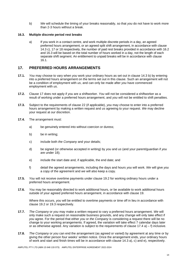b) *We* will schedule the timing of your breaks reasonably, so that *you* do not have to work more than 2-3 hours without a break.

#### **16.3. Multiple discrete period rest breaks**

a) If you work in a contact centre, and work multiple discrete periods in a day, an agreed preferred hours arrangement, or an agreed split shift arrangement, in accordance with clause 14.3 c), 17 or 18 respectively, the number of paid rest breaks provided in accordance with 16.2 and 16.3 will be based on the total number of hours worked in a day, not the length of each separate shift segment. An entitlement to unpaid breaks will be in accordance with clause 16.1.

# **17. PREFERRED HOURS ARRANGEMENTS**

- **17.1.** *You* may choose to vary when *you* work your ordinary hours as set out in clause 14.3 b) by entering into a preferred hours arrangement on the terms set out in this clause. Such an arrangement will not be a condition of employment with *us*, and can only be made after *you* have commenced employment with *us*.
- **17.2.** Clause 17 does not apply if *you* are a shiftworker. *You* will not be considered a shiftworker as a result of working under a preferred hours arrangement, and *you* will not be entitled to shift penalties.
- **17.3.** Subject to the requirements of clause 22 (if applicable), *you* may choose to enter into a preferred hours arrangement by making a written request and *us* agreeing to your request. *We* may decline your request at *our* discretion.
- **17.4.** The arrangement must:
	- a) be genuinely entered into without coercion or duress;
	- b) be in writing;
	- c) include both *the Company* and your details;
	- d) be signed (or otherwise accepted in writing) by *you* and *us* (and your parent/guardian if *you* are under 18);
	- e) include the start date and, if applicable, the end date; and
	- f) detail the agreed arrangements, including the days and hours *you* will work. *We* will give *you* a copy of the agreement and *we* will also keep a copy.
- **17.5.** *You* will not receive overtime payments under clause 19.2 for working ordinary hours under a preferred hours arrangement.
- **17.6.** *You* may be reasonably directed to work additional hours, or be available to work additional hours outside of your agreed preferred hours arrangement, in accordance with clause 19.

Where this occurs, *you* will be entitled to overtime payments or time off in lieu in accordance with clause 19.2 or 19.3 respectively.

- **17.7.** *The Company* or *you* may make a written request to vary a preferred hours arrangement. *We* will only make such a request on reasonable business grounds, and any change will only take effect if *you* agree. For the period that either *you* or *the Company* is considering a request there will be no change to your working arrangements. If agreed, the variation will take effect 7 calendar days later or as otherwise agreed. Any variation is subject to the requirements of clause  $17.4$  a) – f) inclusive.
- **17.8.** *The Company* or *you* can end the arrangement (as agreed or varied) by agreement at any time or by giving the other person four weeks' written notice. Once the arrangement ends, your ordinary hours of work and start and finish times will be in accordance with clause 14.3 a), c) and e), respectively.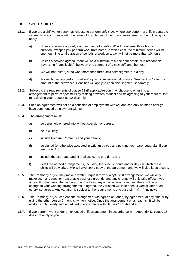# **18. SPLIT SHIFTS**

- **18.1.** If *you* are a shiftworker, *you* may choose to perform *split shifts* where *you* perform a shift in separate segments in accordance with the terms of this clause. Under these arrangements, the following will apply:
	- a) Unless otherwise agreed, each segment of a *split shift* will be at least three hours in duration, except if *you* perform work from home, in which case the minimum period will be one hour. The total duration of periods of work on a day will not be more than 10 hours.
	- b) Unless otherwise agreed, there will be a minimum of a one hour break, plus reasonable travel time (if applicable), between one segment of a *split shift* and the next.
	- c) *We* will not roster *you* to work more than three *split shift* segments in a day.
	- d) For each day *you* perform *split shifts you* will receive an allowance. See Section 12 for the amount of the allowance. Penalties will apply to each shift segment separately.
- **18.2.** Subject to the requirements of clause 22 (if applicable) *you* may choose to enter into an arrangement to perform *split shifts* by making a written request and *us* agreeing to your request. *We* may decline your request at *our* discretion.
- **18.3.** Such an agreement will not be a condition of employment with *us*, and can only be made after *you* have commenced employment with *us*.
- **18.4.** The arrangement must:
	- a) be genuinely entered into without coercion or duress;
	- b) be in writing:
	- c) include both *the Company* and your details;
	- d) be signed (or otherwise accepted in writing) by *you* and *us* (and your parent/guardian if *you* are under 18);
	- e) include the start date and, if applicable, the end date; and
	- f) detail the agreed arrangements, including the specific hours and/or days in which these shifts will be worked. *We* will give *you* a copy of the agreement and *we* will also keep a copy.
- **18.5.** *The Company* or *you* may make a written request to vary a *split shift* arrangement. *We* will only make such a request on reasonable business grounds, and any change will only take effect if *you* agree. For the period that either *you* or *the Company* is considering a request there will be no change to your working arrangements. If agreed, the variation will take effect 4 weeks later or as otherwise agreed. Any variation is subject to the requirements of clause  $18.4$  a) – f) inclusive.
- **18.6.** *The Company* or *you* can end the arrangement (as agreed or varied) by agreement at any time or by giving the other person 3 months' written notice. Once the arrangement ends, each shift will be worked continuously and scheduled in accordance with clauses 14.3 d) and e).
- **18.7.** If *you* perform work under an extended shift arrangement in accordance with Appendix D, clause 18 does not apply to *you*.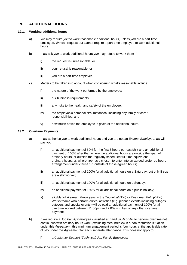# **19. ADDITIONAL HOURS**

#### **19.1. Working additional hours**

- a) *We* may require *you* to work reasonable additional hours, unless *you* are a part-time employee. *We* can request but cannot require a part-time employee to work additional hours.
- b) If *we* ask *you* to work additional hours *you* may refuse to work them if:
	- i) the request is unreasonable; or
	- ii) your refusal is reasonable; or
	- iii) *you* are a part-time employee
- c) Matters to be taken into account when considering what's reasonable include:
	- i) the nature of the work performed by the employee;
	- ii) *our* business requirements;
	- iii) any risks to the health and safety of the employee;
	- iv) the employee's personal circumstances, including any family or carer responsibilities; and
	- v) how much notice the employee is given of the additional hours.

#### **19.2. Overtime Payments**

- a) If *we* authorise *you* to work additional hours and *you* are not an *Exempt Employee*, *we* will pay *you*:
	- i) an additional payment of 50% for the first 3 hours per day/shift and an additional payment of 100% after that, where the additional hours are outside the span of ordinary hours, or outside the regularly scheduled full-time equivalent ordinary hours, or, where *you* have chosen to enter into an agreed preferred hours arrangement under clause 17, outside of those agreed hours;
	- ii) an additional payment of 100% for all additional hours on a Saturday, but only if *you* are a shiftworker;
	- iii) an additional payment of 100% for all additional hours on a Sunday;
	- iv) an additional payment of 150% for all additional hours on a public holiday;
	- v) eligible *Workstream Employees* in the *Technical (TW)* or *Customer Field (CFW)* Workstreams who perform critical activities (e.g. planned events including outages, cutovers and special events) will be paid an additional payment of 100% for all overtime worked between 11:00pm and 7:00am in lieu of any other overtime payment.
- b) If we require a *Job Family Employee* classified at *Band* 3ii, 4i or 4ii, to perform overtime not continuous with ordinary hours work (excluding meal breaks) in a non-restriction situation under this *Agreement*, this minimum engagement period is four hours at the applicable rate of pay under the *Agreement* for each separate attendance. This does not apply to:
	- i) a *Customer Support (Technical) Job Family Employee*;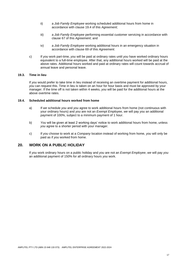- ii) a *Job Family Employee* working scheduled additional hours from home in accordance with clause 19.4 of this *Agreement*;
- iii) a *Job Family Employee* performing essential customer servicing in accordance with clause 67 of this *Agreement*; and
- iv) a *Job Family Employee* working additional hours in an emergency situation in accordance with clause 69 of this *Agreement*.
- c) If *you* work part-time, *you* will be paid at ordinary rates until *you* have worked ordinary hours equivalent to a full-time employee. After that, any additional hours worked will be paid at the above rates. Additional hours worked and paid at ordinary rates will count towards accrual of annual leave and personal leave.

#### **19.3. Time in lieu**

If *you* would prefer to take time in lieu instead of receiving an overtime payment for additional hours, *you* can request this. Time in lieu is taken on an hour for hour basis and must be approved by your manager. If the time off is not taken within 4 weeks, *you* will be paid for the additional hours at the above overtime rates.

#### **19.4. Scheduled additional hours worked from home**

- a) If *we* schedule *you* and *you* agree to work additional hours from home (not continuous with your ordinary hours) and *you* are not an *Exempt Employee*, *we* will pay *you* an additional payment of 100%, subject to a minimum payment of 1 hour.
- b) *You* will be given at least 2 working days' notice to work additional hours from home, unless *you* agree to a shorter period with your manager.
- c) If *you* choose to work at a *Company* location instead of working from home, *you* will only be paid as if *you* worked from home.

#### **20. WORK ON A PUBLIC HOLIDAY**

If *you* work ordinary hours on a public holiday and *you* are not an *Exempt Employee*, *we* will pay *you* an additional payment of 150% for all ordinary hours *you* work.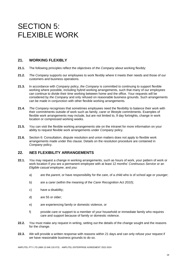# SECTION 5: FLEXIBLE WORK

# **21. WORKING FLEXIBLY**

- **21.1.** The following principles reflect the objectives of *the Company* about working flexibly:
- **21.2.** *The Company* supports our employees to work flexibly where it meets their needs and those of our customers and business operations.
- **21.3.** In accordance with *Company* policy, *the Company* is committed to continuing to support flexible working where possible, including hybrid working arrangements, such that many of our employees can continue to divide their time working between home and the office. Your requests will be considered by *the Company* and only refused on reasonable business grounds. Such arrangements can be made in conjunction with other flexible working arrangements.
- **21.4.** *The Company* recognises that sometimes employees need the flexibility to balance their work with their commitments outside of work such as family, carer or lifestyle commitments. Examples of flexible work arrangements may include, but are not limited to, 9 day fortnights, change in work location or compressed working weeks.
- **21.5.** *You* can visit the flexible working arrangements site on the intranet for more information on your ability to request flexible work arrangements under *Company* policy.
- **21.6.** Section 6: Consultation, dispute resolution and union matters does not apply to flexible work arrangements made under this clause. Details on the resolution procedure are contained in *Company* policy.

# **22.** *NES* **FLEXIBILITY ARRANGEMENTS**

- **22.1.** *You* may request a change in working arrangements, such as hours of work, your pattern of work or work location if *you* are a permanent employee with at least 12 months' *Continuous Service* or an *Eligible casual employee*, and *you*:
	- a) are the *parent*, or have responsibility for the care, of a child who is of school age or younger;
	- b) are a carer (within the meaning of the *Carer Recognition Act 2010*);
	- c) have a disability;
	- d) are 55 or older;
	- e) are experiencing family or domestic violence, or
	- f) provide care or support to a member of your household or immediate family who requires care and support because of family or domestic violence.
- **22.2.** *You* must make any request in writing, setting out the details of the change sought and the reasons for the change.
- **22.3.** *We* will provide a written response with reasons within 21 days and can only refuse your request if *we* have reasonable business grounds to do so.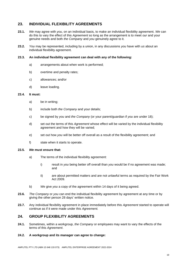# **23. INDIVIDUAL FLEXIBILITY AGREEMENTS**

- **23.1.** *We* may agree with *you*, on an individual basis, to make an individual flexibility agreement. *We* can do this to vary the effect of this *Agreement* so long as the arrangement is to meet *our* and your genuine needs and both *the Company* and *you* genuinely agree to it.
- **23.2.** *You* may be represented, including by a union, in any discussions *you* have with *us* about an individual flexibility agreement.

#### **23.3. An individual flexibility agreement can deal with any of the following:**

- a) arrangements about when work is performed;
- b) overtime and penalty rates;
- c) allowances; and/or
- d) leave loading.

#### **23.4. It must:**

- a) be in writing;
- b) include both *the Company* and your details;
- c) be signed by *you* and *the Company* (or your parent/guardian if *you* are under 18);
- d) set out the terms of this *Agreement* whose effect will be varied by the individual flexibility agreement and how they will be varied;
- e) set out how *you* will be better off overall as a result of the flexibility agreement; and
- f) state when it starts to operate.

#### **23.5.** *We* **must ensure that:**

- a) The terms of the individual flexibility agreement:
	- i) result in *you* being better off overall than *you* would be if no agreement was made; and
	- ii) are about permitted matters and are not unlawful terms as required by the Fair Work Act 2009.
- b) *We* give *you* a copy of the agreement within 14 days of it being agreed.
- **23.6.** *The Company* or *you* can end the individual flexibility agreement by agreement at any time or by giving the other person 28 days' written notice.
- **23.7.** Any individual flexibility agreement in place immediately before this *Agreement* started to operate will continue as if it were made under this *Agreement.*

### **24. GROUP FLEXIBILITY AGREEMENTS**

- **24.1.** Sometimes, within a workgroup, *the Company* or employees may want to vary the effects of the terms of this *Agreement*.
- **24.2. A workgroup and its manager can agree to change:**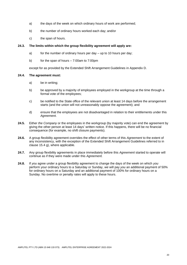- a) the days of the week on which ordinary hours of work are performed;
- b) the number of ordinary hours worked each day; and/or
- c) the span of hours.

#### **24.3. The limits within which the group flexibility agreement will apply are:**

- a) for the number of ordinary hours per day up to 10 hours per day;
- b) for the span of hours 7:00am to 7:00pm

except for as provided by the Extended Shift Arrangement Guidelines in Appendix D.

#### **24.4. The agreement must:**

- a) be in writing;
- b) be approved by a majority of employees employed in the workgroup at the time through a formal vote of the employees;
- c) be notified to the State office of the relevant union at least 14 days before the arrangement starts (and the union will not unreasonably oppose the agreement); and
- d) ensure that the employees are not disadvantaged in relation to their entitlements under this *Agreement*.
- **24.5.** Either *the Company* or the employees in the workgroup (by majority vote) can end the agreement by giving the other person at least 14 days' written notice. If this happens, there will be no financial consequence (for example, no shift closure payments).
- **24.6.** A group flexibility agreement overrides the effect of other terms of this *Agreement* to the extent of any inconsistency, with the exception of the Extended Shift Arrangement Guidelines referred to in clause 15.4 g), where applicable.
- **24.7.** Any group flexibility agreements in place immediately before this *Agreement* started to operate will continue as if they were made under this *Agreement.*
- **24.8.** If *you* agree under a group flexibility agreement to change the days of the week on which *you* perform your ordinary hours to a Saturday or Sunday, *we* will pay *you* an additional payment of 50% for ordinary hours on a Saturday and an additional payment of 100% for ordinary hours on a Sunday. No overtime or penalty rates will apply to these hours.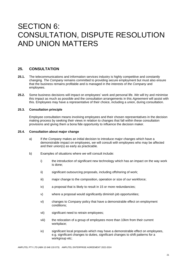# SECTION 6: CONSULTATION, DISPUTE RESOLUTION AND UNION MATTERS

# **25. CONSULTATION**

- **25.1.** The telecommunications and information services industry is highly competitive and constantly changing*. The Company* remains committed to providing secure employment but must also ensure that the business remains profitable and is managed in the interests of *the Company* and employees.
- **25.2.** Some business decisions will impact on employees' work and personal life. *We* will try and minimise this impact as much as possible and the consultation arrangements in this *Agreement* will assist with this. Employees may have a representative of their choice, including a union, during consultation.

#### **25.3. Consultation principle**

Employee consultation means involving employees and their chosen representatives in the decision making process by seeking their views in relation to changes that fall within these consultation provisions and giving them a bona fide opportunity to influence the decision maker.

#### **25.4. Consultation about major change**

- a) If *the Company* makes an initial decision to introduce major changes which have a demonstrable impact on employees, *we* will consult with employees who may be affected and their union(s) as early as practicable.
- b) Examples of situations where *we* will consult include:
	- i) the introduction of significant new technology which has an impact on the way work is done;
	- ii) significant outsourcing proposals, including offshoring of work;
	- iii) major change to the composition, operation or size of *our* workforce;
	- iv) a proposal that is likely to result in 15 or more redundancies;
	- v) where a proposal would significantly diminish job opportunities;
	- vi) changes to *Company* policy that have a demonstrable effect on employment conditions;
	- vii) significant need to retrain employees;
	- viii) the relocation of a group of employees more than 10km from their current workplace;
	- ix) significant local proposals which may have a demonstrable effect on employees, e.g. significant changes to duties, significant changes to shift patterns for a workgroup etc;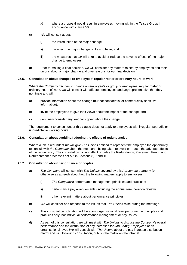- x) where a proposal would result in employees moving within the Telstra Group in accordance with clause 50.
- c) *We* will consult about:
	- i) the introduction of the major change;
	- ii) the effect the major change is likely to have; and
	- iii) the measures that *we* will take to avoid or reduce the adverse effects of the major change to employees.
- d) Prior to making a final decision, *we* will consider any matters raised by employees and their unions about a major change and give reasons for *our* final decision.

#### **25.5. Consultation about changes to employees' regular roster or ordinary hours of work**

Where *the Company* decides to change an employee's or group of employees' regular roster or ordinary hours of work, *we* will consult with affected employees and any representative that they nominate and will:

- a) provide information about the change (but not confidential or commercially sensitive information);
- b) invite the employees to give their views about the impact of the change; and
- c) genuinely consider any feedback given about the change.

The requirement to consult under this clause does not apply to employees with irregular, sporadic or unpredictable working hours.

#### **25.6. Consultation about avoiding/reducing the effects of redundancies**

Where a job is redundant *we* will give *The Unions* entitled to represent the employee the opportunity to consult with *the Company* about the measures being taken to avoid or reduce the adverse effects of the redundancy. The consultation will not affect or delay the Redundancy, Placement Period and Retrenchment processes set out in Sections 8, 9 and 10.

#### **25.7. Consultation about performance principles**

- a) *The Company* will consult with *The Unions* covered by this *Agreement* quarterly (or otherwise as agreed) about how the following matters apply to employees:
	- i) *The Company's* performance management principles and practices;
	- ii) performance pay arrangements (including the annual remuneration review);
	- iii) other relevant matters about performance principles;
- b) *We* will consider and respond to the issues that *The Unions* raise during the meetings.
- c) This consultation obligation will be about organisational level performance principles and practices only, not individual performance management or pay issues.
- d) As part of this consultation, *we* will meet with *The Unions* to discuss *the Company's* overall performance and the distribution of pay increases for *Job Family Employees* at an organisational level. *We* will consult with *The Unions* about the pay increase distribution matrix and will, following consultation, publish the matrix on the intranet.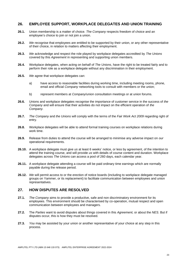# **26. EMPLOYEE SUPPORT, WORKPLACE DELEGATES AND UNION TRAINING**

- **26.1.** Union membership is a matter of choice. *The Company* respects freedom of choice and an employee's choice to join or not join a union.
- **26.2.** *We* recognise that employees are entitled to be supported by their union, or any other representative of their choice, in relation to matters affecting their employment.
- **26.3.** *We* acknowledge and respect the role played by workplace delegates accredited by *The Unions*  covered by this *Agreement* in representing and supporting union members.
- **26.4.** Workplace delegates, when acting on behalf of *The Unions*, have the right to be treated fairly and to perform their role as a workplace delegate without any discrimination in their employment.
- **26.5.** *We* agree that workplace delegates can:
	- a) have access to reasonable facilities during working time, including meeting rooms, phone, email and official *Company* networking tools to consult with members or the union;
	- b) represent members at *Company*/union consultation meetings or at union forums.
- **26.6.** Unions and workplace delegates recognise the importance of customer service in the success of *the Company* and will ensure that their activities do not impact on the efficient operation of *the Company.*
- **26.7.** *The Company* and *the Unions* will comply with the terms of the *Fair Work Act 2009* regarding right of entry.
- **26.8.** Workplace delegates will be able to attend formal training courses on workplace relations during work time.
- **26.9.** Release from duties to attend the course will be arranged to minimise any adverse impact on *our*  operational requirements.
- **26.10.** A workplace delegate must give *us* at least 6 weeks' notice, or less by agreement, of the intention to attend the training course, and will provide *us* with details of course content and duration. Workplace delegates across *The Unions* can access a pool of 260 days, each calendar year.
- **26.11.** A workplace delegate attending a course will be paid ordinary time earnings which are normally payable during the release period.
- **26.12.** *We* will permit access to or the erection of notice boards (including to workplace delegate managed groups on Yammer, or its replacement) to facilitate communication between employees and union representatives.

# **27. HOW DISPUTES ARE RESOLVED**

- **27.1.** *The Company* aims to provide a productive, safe and non discriminatory environment for its employees. This environment should be characterised by co-operation, mutual respect and open communication between employees and managers.
- **27.2.** The *Parties* want to avoid disputes about things covered in this *Agreement,* or about the *NES*. But if disputes occur, this is how they must be resolved.
- **27.3.** *You* may be assisted by your union or another representative of your choice at any step in this process.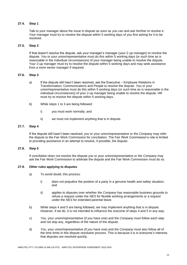#### **27.4. Step 1**

Talk to your manager about the issue in dispute as soon as *you* can and ask him/her to resolve it. Your manager must try to resolve the dispute within 5 working days of *you* first asking for it to be resolved.

#### **27.5. Step 2**

If that doesn't resolve the dispute, ask your manager's manager (your 2-up manager) to resolve the dispute. *You* or your union/representative must do this within 5 working days (or such time as is reasonable in the individual circumstances) of your manager being unable to resolve the dispute. Your 2-up manager must try to resolve the dispute within 5 working days and may seek assistance from a more senior manager if required.

#### **27.6. Step 3**

- a) If the dispute still hasn't been resolved, ask the Executive Employee Relations in Transformation, Communications and People to resolve the dispute. *You* or your union/representative must do this within 5 working days (or such time as is reasonable in the individual circumstances) of your 2-up manager being unable to resolve the dispute. HR must try to resolve the dispute within 5 working days.
- b) While steps 1 to 3 are being followed:
	- i) *you* must work normally; and
	- ii) *we* must not implement anything that is in dispute.

#### **27.7. Step 4**

If the dispute still hasn't been resolved, *you* or your union/representative or *the Company* may refer the dispute to the Fair Work Commission for conciliation. The Fair Work Commission's role is limited to providing assistance in an attempt to resolve, if possible, the dispute.

#### **27.8. Step 5**

If conciliation does not resolve the dispute *you* or your union/representative or *the Company* may ask the Fair Work Commission to arbitrate the dispute and the Fair Work Commission must do so.

#### **27.9. Other rules applying to disputes**

- a) To avoid doubt, this process:
	- i) does not prejudice the position of a party in a genuine health and safety situation; and
	- ii) applies to disputes over whether *the Company* has reasonable business grounds to refuse a request under the *NES* for flexible working arrangements or a request under the *NES* for extended parental leave.
- b) While steps 4 and 5 are being followed, *we* may implement anything that is in dispute. However, if *we* do, it is not intended to influence the outcome of steps 4 and 5 in any way.
- c) *You*, your union/representative (if *you* have one) and *the Company* must follow each step and not skip any, regardless of the nature of the dispute.
- d) *You*, your union/representative (if *you* have one) and *the Company* must also follow all of the time limits in this dispute resolution process. This is because it is in everyone's interests that disputes are resolved quickly.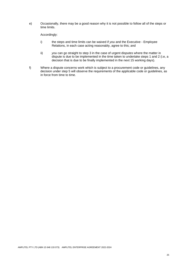e) Occasionally, there may be a good reason why it is not possible to follow all of the steps or time limits.

Accordingly:

- i) the steps and time limits can be waived if *you* and the Executive Employee Relations, in each case acting reasonably, agree to this; and
- ii) *you* can go straight to step 3 in the case of urgent disputes where the matter in dispute is due to be implemented in the time taken to undertake steps 1 and 2 (i.e, a decision that is due to be finally implemented in the next 15 working days).
- f) Where a dispute concerns work which is subject to a procurement code or guidelines, any decision under step 5 will observe the requirements of the applicable code or guidelines, as in force from time to time.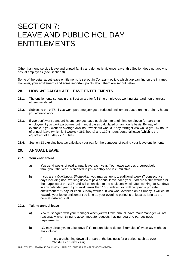# SECTION 7: LEAVE AND PUBLIC HOLIDAY ENTITLEMENTS

Other than long service leave and unpaid family and domestic violence leave, this Section does not apply to casual employees (see Section 3).

Some of the detail about leave entitlements is set out in *Company* policy, which *you* can find on the intranet. However, your entitlements and some important points about them are set out below.

# **28. HOW** *WE* **CALCULATE LEAVE ENTITLEMENTS**

- **28.1.** The entitlements set out in this Section are for full-time employees working standard hours, unless otherwise stated.
- **28.2.** Subject to the *NES*, if *you* work part-time *you* get a reduced entitlement based on the ordinary hours *you* actually work.
- **28.3.** If *you* don't work standard hours, *you* get leave equivalent to a full-time employee (or part-time employee, if *you* work part-time), but in most cases calculated on an hourly basis. By way of example, if *you* work an average 36¾ hour week but work a 9-day fortnight *you* would get 147 hours of annual leave (which is 4 weeks x 36¾ hours) and 110¼ hours personal leave (which is the equivalent of 15 days x 7.35hrs).
- **28.4.** Section 13 explains how *we* calculate your pay for the purposes of paying your leave entitlements.

# **29. ANNUAL LEAVE**

#### **29.1. Your entitlement**

- a) *You* get 4 weeks of paid annual leave each year. Your leave accrues progressively throughout the year, is credited to *you* monthly and is cumulative.
- b) If *you* are a *Continuous Shiftworker*, *you* may get up to 1 additional week (7 consecutive days including non- working days) of paid annual leave each year. *You* are a shift worker for the purposes of the *NES* and will be entitled to the additional week after working 10 Sundays in any calendar year. If *you* work fewer than 10 Sundays, *you* will be given a pro rata entitlement of ½ day for each Sunday worked. If *you* work overtime on a Sunday, it will count towards your leave entitlement so long as your overtime period is at least as long as the normal rostered shift.

#### **29.2. Taking annual leave**

- a) *You* must agree with your manager when *you* will take annual leave. Your manager will act reasonably when trying to accommodate requests, having regard to *our* business requirements.
- b) *We* may direct *you* to take leave if it's reasonable to do so. Examples of when *we* might do this include:
	- i) if *we* are shutting down all or part of the business for a period, such as over Christmas or New Year;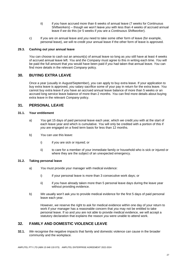- ii) if *you* have accrued more than 6 weeks of annual leave (7 weeks for Continuous Shiftworkers) – though *we* won't leave *you* with less than 4 weeks of accrued annual leave if *we* do this (or 5 weeks if *you* are a *Continuous Shiftworker*).
- c) If *you* are on annual leave and *you* need to take some other form of leave (for example, personal leave), *we* will re-credit your annual leave if the other form of leave is approved.

#### **29.3. Cashing out your annual leave**

*You* can choose to cash out an amount(s) of annual leave so long as *you* still have at least 4 weeks of accrued annual leave left. *You* and *the Company* must agree to this in writing each time. *You* will be paid the full amount that *you* would have been paid if *you* had taken that annual leave. *You* can find more details in the relevant *Company* policy.

# **30. BUYING EXTRA LEAVE**

Once a year (usually in August/September), *you* can apply to buy extra leave. If your application to buy extra leave is approved, *you* salary sacrifice some of your pay in return for the extra leave. *You* cannot buy extra leave if *you* have an accrued annual leave balance of more than 5 weeks or an accrued long service leave balance of more than 2 months. *You* can find more details about buying extra leave in the relevant *Company* policy.

# **31. PERSONAL LEAVE**

#### **31.1. Your entitlement**

- a) *You* get 15 days of paid personal leave each year, which *we* credit *you* with at the start of each leave year and which is cumulative. *You* will only be credited with a portion of this if *you* are engaged on a fixed term basis for less than 12 months.
- b) *You* can use this leave:
	- i) if *you* are sick or injured; or
	- ii) to care for a member of your immediate family or household who is sick or injured or where they are the subject of an unexpected emergency.

#### **31.2. Taking personal leave**

- a) *You* must provide your manager with medical evidence:
	- i) if your personal leave is more than 3 consecutive work days; or
	- ii) if *you* have already taken more than 5 personal leave days during the leave year without providing evidence.
- b) *We* usually won't ask *you* to provide medical evidence for the first 5 days of paid personal leave each year.

However, *we* reserve the right to ask for medical evidence within one day of your return to work if your manager has a reasonable concern that *you* may not be entitled to take personal leave. If so and *you* are not able to provide medical evidence, *we* will accept a statutory declaration that explains the reason *you* were unable to attend work.

# **32. FAMILY AND DOMESTIC VIOLENCE LEAVE**

**32.1.** *We* recognise the negative impacts that family and domestic violence can cause in the broader community and the workplace.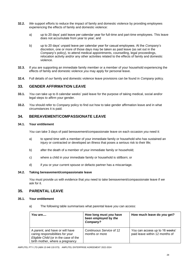- **32.2.** *We* support efforts to reduce the impact of family and domestic violence by providing employees experiencing the effects of family and domestic violence:
	- a) up to 20 days' paid leave per calendar year for full-time and part-time employees. This leave does not accumulate from year to year; and
	- b) up to 20 days' unpaid leave per calendar year for casual employees. At the *Company*'*s*  discretion, one or more of those days may be taken as paid leave (as set out in the *Company*'*s* policy), to attend medical appointments, counselling, legal proceedings, relocation activity and/or any other activities related to the effects of family and domestic violence.
- **32.3.** If *you* are supporting an immediate family member or a member of your household experiencing the effects of family and domestic violence *you* may apply for personal leave.
- **32.4.** Full details of *our* family and domestic violence leave provisions can be found in *Company* policy.

# **33. GENDER AFFIRMATION LEAVE**

- **33.1.** *You* can take up to 8 calendar weeks' paid leave for the purpose of taking medical, social and/or legal steps to affirm your gender.
- **33.2.** *You* should refer to *Company* policy to find out how to take gender affirmation leave and in what circumstances it is paid.

# **34. BEREAVEMENT/COMPASSIONATE LEAVE**

#### **34.1. Your entitlement**

*You* can take 3 days of paid bereavement/compassionate leave on each occasion *you* need it:

- a) to spend time with a member of your immediate family or household who has sustained an injury or contracted or developed an illness that poses a serious risk to their life;
- b) after the death of a member of your immediate family or household;
- c) where a child in your immediate family or household is stillborn; or
- d) if *you* or your current spouse or defacto partner has a miscarriage.

#### **34.2. Taking bereavement/compassionate leave**

*You* must provide *us* with evidence that *you* need to take bereavement/compassionate leave if *we*  ask for it.

# **35. PARENTAL LEAVE**

#### **35.1. Your entitlement**

a) The following table summarises what parental leave *you* can access:

| You are                                                                                                                                         | How long must you have<br>been employed by the<br>Company? | How much leave do you get?                                       |
|-------------------------------------------------------------------------------------------------------------------------------------------------|------------------------------------------------------------|------------------------------------------------------------------|
| A parent, and have or will have<br>caring responsibilities for your<br>Eligible Child (or in the case of the<br>birth mother, where a pregnancy | Continuous Service of 12<br>months or more                 | You can access up to 16 weeks'<br>paid leave within 12 months of |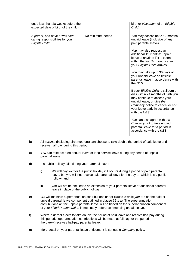| ends less than 28 weeks before the<br>expected date of birth of the child)            |                   | birth or placement of an Eligible<br>Child.                                                                                                                                                                                                                                                                                                                                                                                                                                                                                                                                                                                                                                                                                                  |
|---------------------------------------------------------------------------------------|-------------------|----------------------------------------------------------------------------------------------------------------------------------------------------------------------------------------------------------------------------------------------------------------------------------------------------------------------------------------------------------------------------------------------------------------------------------------------------------------------------------------------------------------------------------------------------------------------------------------------------------------------------------------------------------------------------------------------------------------------------------------------|
| A parent, and have or will have<br>caring responsibilities for your<br>Eligible Child | No minimum period | You may access up to 12 months'<br>unpaid leave (inclusive of any<br>paid parental leave).<br>You may also request an<br>additional 12 months' unpaid<br>leave at anytime if it is taken<br>within the first 24 months after<br>your Eligible Child arrives.<br>You may take up to 30 days of<br>your unpaid leave as flexible<br>parental leave in accordance with<br>the NES.<br>If your Eligible Child is stillborn or<br>dies within 24 months of birth you<br>may continue to access your<br>unpaid leave, or give the<br>Company notice to cancel or end<br>your leave early in accordance<br>with the NES.<br>You can also agree with the<br>Company not to take unpaid<br>parental leave for a period in<br>accordance with the NES. |
|                                                                                       |                   |                                                                                                                                                                                                                                                                                                                                                                                                                                                                                                                                                                                                                                                                                                                                              |

- b) All *parents* (including birth mothers) can choose to take double the period of paid leave and receive half-pay during this period.
- c) *You* can take accrued annual leave or long service leave during any period of unpaid parental leave.
- d) If a public holiday falls during your parental leave:
	- i) *We* will pay *you* for the public holiday if it occurs during a period of paid parental leave, but *you* will not receive paid parental leave for the day on which it is a public holiday; and
	- ii) *you* will not be entitled to an extension of your parental leave or additional parental leave in place of the public holiday.
- e) *We* will maintain superannuation contributions under clause 9 while *you* are on the paid or unpaid parental leave component outlined in clause 35.1 a). The superannuation contributions on the unpaid parental leave will be based on the superannuation component of your *Fixed Remuneration* immediately before commencing unpaid leave.
- f) Where a *parent* elects to take double the period of paid leave and receive half-pay during this period, superannuation contributions will be made at full pay for the period the *parent* receives half-pay parental leave.
- g) More detail on your parental leave entitlement is set out in *Company* policy.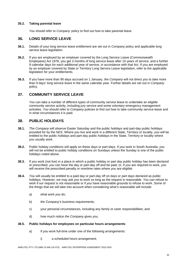#### **35.2. Taking parental leave**

*You* should refer to *Company* policy to find out how to take parental leave.

# **36. LONG SERVICE LEAVE**

- **36.1.** Details of your long service leave entitlement are set out in *Company* policy and applicable long service leave legislation.
- **36.2.** If you are employed by an employer covered by the Long Service Leave (Commonwealth Employees) Act 1976, you get 3 months of long service leave after 10 years of service, and a further 9 calendar days for each additional year of service, in accordance with that Act. If you are employed by an employer covered by State or Territory Long Service Leave legislation, refer to the applicable legislation for your entitlements.
- **36.3.** If you have more than 90 days accrued on 1 January, *the Company* will not direct *you* to take more than 9 days' long service leave in the same calendar year. Further details are set out in *Company* policy.

# **37. COMMUNITY SERVICE LEAVE**

*You* can take a number of different types of community service leave to undertake an eligible community service activity, including jury service and some voluntary emergency management activities. *You* should refer to *Company* policies to find out how to take community service leave and in what circumstances it is paid.

# **38. PUBLIC HOLIDAYS**

- **38.1.** *The Company* will observe Easter Saturday and the public holidays and part-day public holidays provided for by the *NES*. Where *you* live and work in a different State, Territory or locality, *you* will be entitled to the public holidays and part-day public holidays in the State, Territory or locality where *you* usually work.
- **38.2.** Public holiday conditions will apply on these days or part-days. If *you* work in South Australia, *you* will not be entitled to public holiday conditions on Sundays unless the Sunday is one of the public holidays noted above.
- **38.3.** If *you* work (not live) in a place in which a public holiday or part day public holiday has been declared or prescribed, *you* can have the day or part-day off and be paid; or, if *you* are required to work, *you* will receive the prescribed penalty or overtime rates where *you* are eligible.
- **38.4.** *You* will usually be entitled to a paid day or part-day off on days or part days declared as public holidays. However, *we* may ask *you* to work so long as the request is reasonable. *You* can refuse to work if *our* request is not reasonable or if *you* have reasonable grounds to refuse to work. Some of the things that *we* will take into account when considering what's reasonable will include:
	- a) what work *you* do;
	- b) *the Company's* business requirements:
	- c) your personal circumstances, including any family or carer responsibilities; and
	- d) how much notice *the Company* gives *you*.

#### **38.5. Public holidays for employees on particular hours arrangements**

- a) If *you* work full-time under one of the following arrangements:
	- i) a scheduled hours arrangement;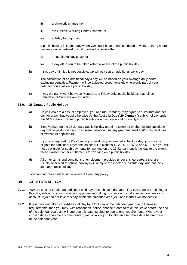- ii) a shiftwork arrangement;
- iii) the Flexible Working Hours Scheme; or
- iv) a 9-day fortnight; and

a public holiday falls on a day when *you* could have been scheduled to work ordinary hours but were not scheduled to work, *you* will receive either:

- v) an additional day's pay, or
- vi) a day off in lieu to be taken within 4 weeks of the public holiday.
- b) If this day off in lieu is not possible, *we* will pay *you* an additional day's pay.

The calculation of an additional day's pay will be based on your average daily hours excluding penalties. Payment will be adjusted proportionately where only part of your ordinary hours fall on a public holiday.

c) If *you* ordinarily work between Monday and Friday only, public holidays that fall on Saturdays or Sundays are excluded.

#### **38.6. 26 January Public Holiday**

- a) Unless *you* are a casual employee, *you* and *the Company* may agree to substitute another day for a day that would otherwise be the Australia Day ("**26 January**") public holiday under the *NES* if the 26 January public holiday is a day *you* would ordinarily work.
- b) Time worked on the 26 January public holiday and time taken off on the elected substitute day will be paid based on *Fixed Remuneration* plus any grandfathered and/or higher duties allowance (if applicable).
- c) If *you* are required by *the Company* to work on your elected substitute day, *you* may be eligible for additional payments as set out in clauses 19.2, 20, 63, 68.3 and 69.2, but *you* will not be eligible for such payments for working on the 26 January public holiday to the extent these clauses confer entitlements for working on a public holiday.
- d) All other terms and conditions of employment provided under this *Agreement* that are usually observed for public holidays will apply to the elected substitute day, and not the 26 January public holiday.

*You* can find more details in the relevant *Company* policy.

# **39. ADDITIONAL DAY**

- **39.1.** *You* are entitled to take an additional paid day off each calendar year. *You* can choose the timing of this day, subject to your manager's approval and taking business and customer requirements into account. If *you* do not take this day within the calendar year, *you* lose it and it will not accrue.
- **39.2.** If *you* have not taken your Additional Day by 1 October of the calendar year due to business requirements, then *you* may, with reasonable notice, choose a date to take this leave before the end of the calendar year. *We* will approve this date, subject to operational requirements. Where your chosen date cannot be accommodated, *we* will allow *you* to take an alternative date before the end of the calendar year.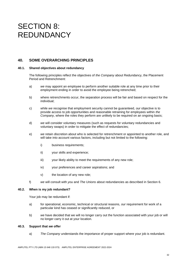# SECTION 8: REDUNDANCY

# **40. SOME OVERARCHING PRINCIPLES**

#### **40.1. Shared objectives about redundancy**

The following principles reflect the objectives of *the Company* about Redundancy, the Placement Period and Retrenchment:

- a) *we* may appoint an employee to perform another suitable role at any time prior to their employment ending in order to avoid the employee being retrenched;
- b) where retrenchments occur, the separation process will be fair and based on respect for the individual;
- c) while *we* recognise that employment security cannot be guaranteed, *our* objective is to provide access to job opportunities and reasonable retraining for employees within *the Company*, where the roles they perform are unlikely to be required on an ongoing basis;
- d) *we* will consider voluntary measures (such as requests for voluntary redundancies and voluntary swaps) in order to mitigate the effect of redundancies;
- e) *we* retain discretion about who is selected for retrenchment or appointed to another role, and will take into account various factors, including but not limited to the following:
	- i) business requirements;
	- ii) your skills and experience;
	- iii) vour likely ability to meet the requirements of any new role:
	- iv) your preferences and career aspirations; and
	- v) the location of any new role;
- f) *we* will consult with *you* and *The Unions* about redundancies as described in Section 6.

#### **40.2. When is my job redundant?**

Your job may be redundant if:

- a) for operational, economic, technical or structural reasons, *our* requirement for work of a particular kind has ceased or significantly reduced, or
- b) *we* have decided that we will no longer carry out the function associated with your job or will no longer carry it out at your location.

#### **40.3. Support that** *we* **offer**

a) *The Company* understands the importance of proper support where your job is redundant.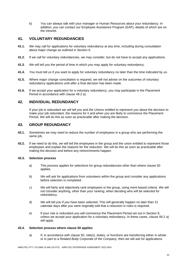b) *You* can always talk with your manager or Human Resources about your redundancy. In addition, *you* can contact *our* Employee Assistance Program (EAP), details of which are on the intranet.

# **41. VOLUNTARY REDUNDANCIES**

- **41.1.** *We* may call for applications for voluntary redundancy at any time, including during consultation about major change as outlined in Section 6.
- **41.2.** If *we* call for voluntary redundancies, *we* may consider, but do not have to accept any applications.
- **41.3.** *We* will tell *you* the period of time in which *you* may apply for voluntary redundancy.
- **41.4.** *You* must tell *us* if *you* want to apply for voluntary redundancy no later than the time indicated by *us*.
- **41.5.** Where major change consultation is required, *we* will not advise on the outcomes of voluntary redundancy applications until after a final decision has been made.
- **41.6.** If *we* accept your application for a voluntary redundancy, *you* may participate in the Placement Period in accordance with clause 49.2 a).

# **42. INDIVIDUAL REDUNDANCY**

If your job is redundant *we* will tell *you* and *the Unions* entitled to represent *you* about the decision to make your job redundant, the reasons for it and when *you* are likely to commence the Placement Period. *We* will do this as soon as practicable after making the decision.

### **43. GROUP REDUNDANCY**

- **43.1.** Sometimes *we* may need to reduce the number of employees in a group who are performing the same job.
- **43.2.** If *we* need to do this, *we* will tell the employees in the group and the union entitled to represent those employees and explain the reasons for the reduction. *We* will do this as soon as practicable after making the decision and before any retrenchments happen.

#### **43.3. Selection process**

- a) This process applies for selections for group redundancies other than where clause 50 applies.
- b) *We* will ask for applications from volunteers within the group and consider any applications before selection is completed.
- c) *We* will fairly and objectively rank employees in the group, using merit-based criteria. *We* will not consider anything, other than your ranking, when deciding who will be selected for redundancy.
- d) *We* will tell *you* if *you* have been selected. This will generally happen no later than 21 calendar days after *you* were originally told that a reduction in roles is required.
- e) If your role is redundant *you* will commence the Placement Period set out in Section 9, unless *we* accept your application for a voluntary redundancy. In these cases, clause 49.2 a) will apply.

#### **43.4. Selection process where clause 50 applies**

a) If, in accordance with clause 50, role(s), duties, or functions are transferring either in whole or in part to a *Related Body Corporate* of *the Company,* then *we* will ask for applications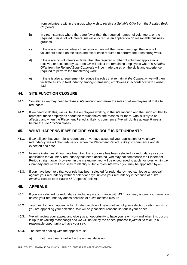from volunteers within the group who wish to receive a *Suitable Offer* from the *Related Body Corporate.*

- b) In circumstances where there are fewer than the required number of volunteers, or the required number of volunteers, *we* will only refuse an application on reasonable business grounds.
- c) If there are more volunteers than required, *we* will then select amongst the group of volunteers based on the skills and experience required to perform the transferring work.
- d) If there are no volunteers or fewer than the required number of voluntary applications received or accepted by *us,* then *we* will select the remaining employees whom a *Suitable Offer* from the *Related Body Corporate* will be made based on the skills and experience required to perform the transferring work.
- e) If there is also a requirement to reduce the roles that remain at *the Company*, *we* will then facilitate a Group Redundancy amongst remaining employees in accordance with clause 43.3.

# **44. SITE FUNCTION CLOSURE**

- **44.1.** Sometimes *we* may need to close a *site function* and make the roles of all employees at that site redundant.
- **44.2.** If *we* need to do this, *we* will tell the employees working in the *site function* and the union entitled to represent those employees about the redundancies, the reasons for them, who is likely to be affected and when the Placement Period is likely to commence. *We* will do this at least 6 weeks before the *site function* closes.

# **45. WHAT HAPPENS IF** *WE* **DECIDE YOUR ROLE IS REDUNDANT?**

- **45.1.** If *we* tell *you* that your role is redundant or *we* have accepted your application for voluntary redundancy, *we* will then advise *you* when the Placement Period is likely to commence and its expected end date.
- **45.2.** In some instances, if *you* have been told that your role has been selected for redundancy or your application for voluntary redundancy has been accepted, *you* may not commence the Placement Period straight away. However, in the meantime, *you* will be encouraged to apply for roles within *the Company* and *we* will also seek to identify suitable roles into which *you* may be appointed by *us.*
- **45.3.** If *you* have been told that your role has been selected for redundancy, *you* can lodge an appeal against your redundancy within 9 calendar days, unless your redundancy is because of a *site function* closure (see clause 46 "Appeals" below).

### **46. APPEALS**

- **46.1.** If *you* are selected for redundancy, including in accordance with 43.4, *you* may appeal your selection unless your redundancy arises because of a *site function* closure.
- **46.2.** *You* must lodge an appeal within 9 calendar days of being notified of your selection, setting out why *you* are appealing your selection. *We* will only consider reasons set out in your appeal.
- **46.3.** *We* will review your appeal and give *you* an opportunity to have your say. How and when this occurs is up to *us* (acting reasonably) and *we* will not delay the appeal process if *you* fail to take up a reasonable opportunity to have your say.
- **46.4.** The person dealing with the appeal must:
	- a) not have been involved in the original decision;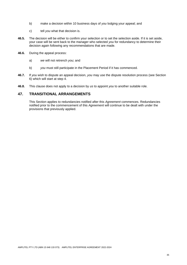- b) make a decision within 10 business days of *you* lodging your appeal; and
- c) tell *you* what that decision is.
- **46.5.** The decision will be either to confirm your selection or to set the selection aside. If it is set aside, your case will be sent back to the manager who selected *you* for redundancy to determine their decision again following any recommendations that are made.
- **46.6.** During the appeal process:
	- a) *we* will not retrench *you*; and
	- b) *you* must still participate in the Placement Period if it has commenced.
- **46.7.** If *you* wish to dispute an appeal decision, *you* may use the dispute resolution process (see Section 6) which will start at step 4.
- **46.8.** This clause does not apply to a decision by *us* to appoint *you* to another suitable role.

# **47. TRANSITIONAL ARRANGEMENTS**

This Section applies to redundancies notified after this *Agreement* commences. Redundancies notified prior to the commencement of this *Agreement* will continue to be dealt with under the provisions that previously applied.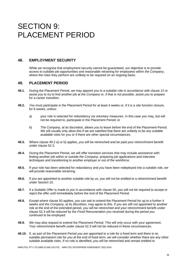# SECTION 9: PLACEMENT PERIOD

# **48. EMPLOYMENT SECURITY**

While *we* recognise that employment security cannot be guaranteed, *our* objective is to provide access to suitable job opportunities and reasonable retraining for employees within *the Company*, where the roles they perform are unlikely to be required on an ongoing basis.

### **49. PLACEMENT PERIOD**

- **49.1.** During the Placement Period, *we* may appoint *you* to a suitable role in accordance with clause 12 or assist *you* to try to find another job at *the Company* or, if that is not possible, assist *you* to prepare for a career transition.
- **49.2.** *You* must participate in the Placement Period for at least 4 weeks or, if it is a *site function* closure, for 6 weeks, unless:
	- a) your role is selected for redundancy via voluntary measures. In this case *you* may, but will not be required to, participate in the Placement Period; or
	- b) *The Company*, at its discretion, allows *you* to leave before the end of the Placement Period. *We* will usually only allow this if we are satisfied that there are unlikely to be any suitable available roles for *you* or if there are other special circumstances.
- **49.3.** Where clause 49.2 a) or b) applies, *you* will be retrenched and be paid your retrenchment benefit under clause 52.3.
- **49.4.** During the Placement Period, *we* will offer transition services that may include assistance with: finding another job within or outside *the Company*, preparing job applications and interview techniques and transitioning to another employer or out of the workforce.
- **49.5.** If your role has been selected for redundancy and *you* have been redeployed into a suitable role, *we*  will provide reasonable retraining.
- **49.6.** If *you* are appointed to another suitable role by *us, you* will not be entitled to a retrenchment benefit under Section 10.
- **49.7.** If a *Suitable Offer* is made to *you* in accordance with clause 50, *you* will not be required to accept or reject the offer until immediately before the end of the Placement Period.
- **49.8.** Except where clause 50 applies, *you* can ask to extend the Placement Period for up to a further 4 weeks and *the Company,* at its discretion, may agree to this. If *you* are still not appointed to another role at the end of the extended period, *you* will be retrenched and your retrenchment benefit under clause 52.3 will be reduced by the *Fixed Remuneration you* received during the period *you* continued to be employed.
- **49.9.** *We* may also request to extend the Placement Period. This will only occur with your agreement. Your retrenchment benefit under clause 52.3 will not be reduced in these circumstances.
- **49.10.** If, as part of the Placement Period *you* are appointed to a role for a fixed term and there is no suitable permanent role for *you* at the end of fixed term, *we* will consider whether there are any other suitable available roles. If no role is identified, *you* will be retrenched and remain entitled to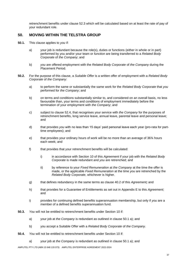retrenchment benefits under clause 52.3 which will be calculated based on at least the rate of pay of your redundant role.

# **50. MOVING WITHIN THE TELSTRA GROUP**

- **50.1.** This clause applies to *you* if:
	- a) your job is redundant because the role(s), duties or functions (either in whole or in part) performed by *you* and/or your team or *function* are being transferred to a *Related Body Corporate* of *the Company*; and
	- b) *you* are offered employment with the *Related Body Corporate* of *the Company* during the Placement Period.
- **50.2.** For the purpose of this clause, a *Suitable Offer* is a written offer of employment with a *Related Body Corporate* of *the Company*:
	- a) to perform the same or substantially the same work for the *Related Body Corporate* that *you* performed for *the Company*; and
	- b) on terms and conditions substantially similar to, and considered on an overall basis, no less favourable than, your terms and conditions of employment immediately before the termination of your employment with *the Company*; and
	- c) subject to clause 52.4, that recognises your service with *the Company* for the purposes of retrenchment benefits, long service leave, annual leave, parental leave and personal leave; and
	- d) that provides *you* with no less than 15 days' paid personal leave each year (pro-rata for parttime employees); and
	- e) that provides your ordinary hours of work will be no more than an average of 36¾ hours each week; and
	- f) that provides that your retrenchment benefits will be calculated:
		- i) in accordance with Section 10 of this *Agreement* if your job with the *Related Body Corporate* is made redundant and *you* are retrenched; and
		- ii) by reference to your *Fixed Remuneration* at *the Company* at the time the offer is made, or the applicable *Fixed Remuneration* at the time *you* are retrenched by the *Related Body Corporate*, whichever is higher.
	- g) that defines redundancy in the same terms as clause 40.2 of this *Agreement;* and
	- h) that provides for a Guarantee of Entitlements as set out in Appendix E to this *Agreement*; and
	- i) provides for continuing defined benefits superannuation membership, but only if *you* are a member of a defined benefits superannuation fund*.*
- **50.3.** *You* will not be entitled to retrenchment benefits under Section 10 if:
	- a) your job at *the Company* is redundant as outlined in clause 50.1 a); and
	- b) you accept a Suitable Offer with a *Related Body Corporate* of *the Company*.
- **50.4.** *You* will not be entitled to retrenchment benefits under Section 10 if:
	- a) your job at *the Company* is redundant as outlined in clause 50.1 a); and

AMPLITEL PTY LTD (ABN 15 648 133 073) AMPLITEL ENTERPRISE AGREEMENT 2022-2024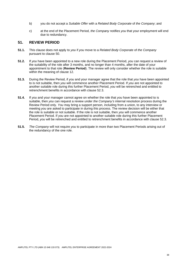- b) you do not accept a *Suitable Offer* with a *Related Body Corporate* of *the Company*; and
- c) at the end of the Placement Period, *the Company* notifies *you* that your employment will end due to redundancy.

# **51. REVIEW PERIOD**

- **51.1.** This clause does not apply to *you* if *you* move to a *Related Body Corporate* of *the Company*  pursuant to clause 50.
- **51.2.** If *you* have been appointed to a new role during the Placement Period, *you* can request a review of the suitability of the role after 3 months, and no longer than 4 months, after the date of your appointment to that role (**Review Period**). The review will only consider whether the role is suitable within the meaning of clause 12.
- **51.3.** During the Review Period, if *you* and your manager agree that the role that *you* have been appointed to is not suitable, then *you* will commence another Placement Period. If *you* are not appointed to another suitable role during this further Placement Period, *you* will be retrenched and entitled to retrenchment benefits in accordance with clause 52.3.
- **51.4.** If *you* and your manager cannot agree on whether the role that *you* have been appointed to is suitable, then *you* can request a review under *the Company's* internal resolution process during the Review Period only. *You* may bring a support person, including from a union, to any interview or meeting *you* are asked to participate in during this process. The review decision will be either that the role is suitable or not suitable. If the role is not suitable, then *you* will commence another Placement Period. If *you* are not appointed to another suitable role during this further Placement Period, *you* will be retrenched and entitled to retrenchment benefits in accordance with clause 52.3.
- **51.5.** *The Company* will not require *you* to participate in more than two Placement Periods arising out of the redundancy of the one role.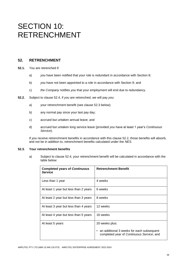# SECTION 10: RETRENCHMENT

# **52. RETRENCHMENT**

- **52.1.** *You* are retrenched if:
	- a) *you* have been notified that your role is redundant in accordance with Section 8;
	- b) *you* have not been appointed to a role in accordance with Section 9; and
	- c) *the Company* notifies *you* that your employment will end due to redundancy.
- **52.2.** Subject to clause 52.4, if *you* are retrenched, *we* will pay *you*:
	- a) your retrenchment benefit (see clause 52.3 below);
	- b) any normal pay since your last pay day;
	- c) accrued but untaken annual leave; and
	- d) accrued but untaken long service leave (provided *you* have at least 1 year's *Continuous Service*).

If *you* receive retrenchment benefits in accordance with this clause 52.2, those benefits will absorb, and not be in addition to, retrenchment benefits calculated under the *NES*.

#### **52.3. Your retrenchment benefits**

a) Subject to clause 52.4, your retrenchment benefit will be calculated in accordance with the table below:

| <b>Completed years of Continuous</b><br><b>Service</b> | <b>Retrenchment Benefit</b>                                                                                           |
|--------------------------------------------------------|-----------------------------------------------------------------------------------------------------------------------|
| Less than 1 year                                       | 4 weeks                                                                                                               |
| At least 1 year but less than 2 years                  | 6 weeks                                                                                                               |
| At least 2 year but less than 3 years                  | 8 weeks                                                                                                               |
| At least 3 year but less than 4 years                  | 12 weeks                                                                                                              |
| At least 4 year but less than 5 years                  | 16 weeks                                                                                                              |
| At least 5 years                                       | 20 weeks plus:<br>an additional 3 weeks for each subsequent<br>$\bullet$<br>completed year of Continuous Service; and |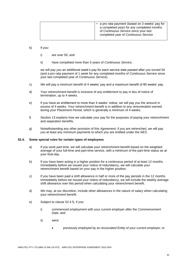#### b) If *you*:

- i) are over 50, and
- ii) have completed more than 5 years of *Continuous Service*,

*we* will pay *you* an additional week's pay for each service date passed after *you* turned 50 (and a pro rata payment of 1 week for any completed months of *Continuous Service* since your last completed year of *Continuous Service*).

- c) *We* will pay a minimum benefit of 4 weeks' pay and a maximum benefit of 80 weeks' pay.
- d) Your retrenchment benefit is inclusive of any entitlement to pay in lieu of notice of termination, up to 4 weeks.
- e) If *you* have an entitlement to more than 4 weeks' notice, *we* will pay *you* the amount in excess of 4 weeks. Your retrenchment benefit is in addition to any remuneration earned during your Placement Period, which is generally a minimum of 4 weeks.
- f) Section 13 explains how *we* calculate your pay for the purposes of paying your retrenchment and separation benefits.
- g) Notwithstanding any other provision of this *Agreement*, if *you* are retrenched, *we* will pay *you* at least any minimum payments to which *you* are entitled under the *NES*.

#### **52.4. Some special rules for certain types of employees**

- a) If *you* work part-time, *we* will calculate your retrenchment benefit based on the weighted average of your full-time and part-time service, with a minimum of the part-time status as at your final day.
- b) If *you* have been acting in a higher position for a continuous period of at least 12 months immediately before *we* issued your notice of redundancy, *we* will calculate your retrenchment benefit based on your pay in the higher position.
- c) If *you* have been paid a shift allowance in half or more of the pay periods in the 12 months immediately before *we* issued your notice of redundancy, *we* will include the weekly average shift allowance over this period when calculating your retrenchment benefit.
- d) *We* may, at *our* discretion, include other allowances in the nature of salary when calculating your retrenchment benefit.
- e) Subject to clause 52.4 f), if *you*:
	- i) commenced employment with your current employer after the *Commencement Date*; and
	- ii) were:
		- previously employed by an *Associated Entity* of your current employer; or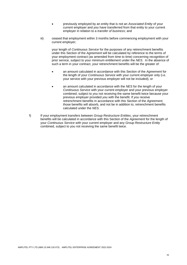- previously employed by an entity that is not an *Associated Entity* of your current employer and *you* have transferred from that entity to your current employer in relation to a *transfer of business*; and
- iii) ceased that employment within 3 months before commencing employment with your current employer;

your length of *Continuous Service* for the purposes of any retrenchment benefits under this Section of the *Agreement* will be calculated by reference to the terms of your employment contract (as amended from time to time) concerning recognition of prior service, subject to your minimum entitlement under the *NES*. In the absence of such a term in your contract, your retrenchment benefits will be the greater of:

- an amount calculated in accordance with this Section of the *Agreement* for the length of your *Continuous Service* with your current employer only (i.e. your service with your previous employer will not be included); or
- an amount calculated in accordance with the *NES* for the length of your *Continuous Service* with your current employer and your previous employer combined, subject to *you* not receiving the same benefit twice because your previous employer provided *you* with the benefit. If *you* receive retrenchment benefits in accordance with this Section of the *Agreement*, those benefits will absorb, and not be in addition to, retrenchment benefits calculated under the *NES*.
- f) If your employment transfers between *Group Restructure Entities*, your retrenchment benefits will be calculated in accordance with this Section of the *Agreement* for the length of your *Continuous Service* with your current employer and any *Group Restructure Entity* combined, subject to you not receiving the same benefit twice.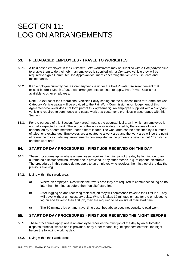# SECTION 11: LOG ON ARRANGEMENTS

# **53. FIELD-BASED EMPLOYEES - TRAVEL TO WORKSITES**

- **53.1.** A field based employee in the *Customer Field Workstream* may be supplied with a *Company* vehicle to enable them to do their job. If an employee is supplied with a *Company* vehicle they will be required to sign a Commuter Use Approval document concerning the vehicle's use, care and maintenance.
- **53.2.** If an employee currently has a *Company* vehicle under the Part Private Use Arrangement that existed before 1 March 1999, these arrangements continue to apply. Part Private Use is not available to other employees.

Note: An extract of the Operational Vehicles Policy setting out the business rules for Commuter Use Category Vehicle usage will be provided to the Fair Work Commission upon lodgement of this *Agreement* (however does not form part of this *Agreement*). An employee supplied with a *Company*  vehicle is required to commence and cease work at a customer's premises in accordance with this Section.

**53.3.** For the purpose of this Section, "work area" means the geographical area in which an employee is normally expected to work. The scope of the work area is determined by the volume of work undertaken by a team member under a team leader. The work area can be described by a number of telephone exchanges. Employees are allocated to a work area and the work area will be the point of reference to calculate any arrangements contemplated in the provisions below about "Transfer to another work area".

# **54. START OF DAY PROCEDURES - FIRST JOB RECEIVED ON THE DAY**

- **54.1.** These procedures apply where an employee receives their first job of the day by logging on to an automated dispatch terminal, where one is provided, or by other means, e.g. telephone/electronic. The procedures in this clause do not apply to an employee who receives their first job of the day the previous evening.
- **54.2.** Living within their work area:
	- a) Where an employee lives within their work area they are required to commence to log on no later than 30 minutes before their "on site" start time.
	- b) After logging on and receiving their first job they will commence travel to their first job. They will travel without unnecessary delay. Where it takes 30 minutes or less for the employee to log on and travel to their first job, they are required to be on site at their start time.
	- c) The 30 minutes log on and travel time described above does not constitute paid work.

# **55. START OF DAY PROCEDURES - FIRST JOB RECEIVED THE NIGHT BEFORE**

- **55.1.** These procedures apply where an employee receives their first job of the day by an automated dispatch terminal, where one is provided, or by other means, e.g. telephone/electronic, the night before the following working day.
- **55.2.** Living within their work area: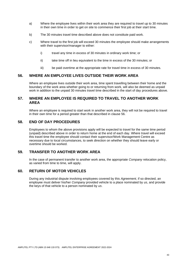- a) Where the employee lives within their work area they are required to travel up to 30 minutes in their own time in order to get on site to commence their first job at their start time.
- b) The 30 minutes travel time described above does not constitute paid work.
- c) Where travel to the first job will exceed 30 minutes the employee should make arrangements with their supervisor/manager to either:
	- i) travel any time in excess of 30 minutes in ordinary work time; or
	- ii) take time off in lieu equivalent to the time in excess of the 30 minutes; or
	- iii) be paid overtime at the appropriate rate for travel time in excess of 30 minutes.

# **56. WHERE AN EMPLOYEE LIVES OUTSIDE THEIR WORK AREA**

Where an employee lives outside their work area, time spent travelling between their home and the boundary of the work area whether going to or returning from work, will also be deemed as unpaid work in addition to the unpaid 30 minutes travel time described in the start of day procedures above.

# **57. WHERE AN EMPLOYEE IS REQUIRED TO TRAVEL TO ANOTHER WORK AREA**

Where an employee is required to start work in another work area, they will not be required to travel in their own time for a period greater than that described in clause 56.

# **58. END OF DAY PROCEDURES**

Employees to whom the above provisions apply will be expected to travel for the same time period (unpaid) described above in order to return home at the end of each day. Where travel will exceed this travel time the employee should contact their supervisor/Work Management Centre as necessary due to local circumstances, to seek direction on whether they should leave early or overtime should be worked.

# **59. TRANSFER TO ANOTHER WORK AREA**

In the case of permanent transfer to another work area, the appropriate *Company* relocation policy, as varied from time to time, will apply.

# **60. RETURN OF MOTOR VEHICLES**

During any industrial dispute involving employees covered by this *Agreement*, if so directed, an employee must deliver his/her *Company* provided vehicle to a place nominated by *us*, and provide the keys of that vehicle to a person nominated by *us*.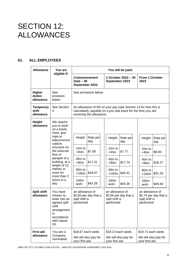# SECTION 12: ALLOWANCES

# **61. ALL EMPLOYEES**

| <b>Allowance</b>                       | You are                                                                                                                                                                                                                                               | You will be paid:                                                                                                                                                    |                                                                                                                                                                                    |                                                                                                                                                                     |
|----------------------------------------|-------------------------------------------------------------------------------------------------------------------------------------------------------------------------------------------------------------------------------------------------------|----------------------------------------------------------------------------------------------------------------------------------------------------------------------|------------------------------------------------------------------------------------------------------------------------------------------------------------------------------------|---------------------------------------------------------------------------------------------------------------------------------------------------------------------|
|                                        | eligible if:                                                                                                                                                                                                                                          | <b>Commencement</b><br>$Date - 30$<br>September 2022                                                                                                                 | 1 October 2022 - 30<br>September 2023                                                                                                                                              |                                                                                                                                                                     |
| <b>Higher</b><br>duties<br>allowance   | See<br>provision<br>below                                                                                                                                                                                                                             | See provisions below                                                                                                                                                 |                                                                                                                                                                                    |                                                                                                                                                                     |
| <b>Temporary</b><br>shift<br>allowance | See Section<br>4                                                                                                                                                                                                                                      | An allowance of 5% of your pay (see Section 13 for how this is<br>calculated), payable on a pro rata basis for the time you are<br>receiving the allowance.          |                                                                                                                                                                                    |                                                                                                                                                                     |
| <b>Height</b><br>allowance             | We require<br>you to work<br>on a tower,<br>mast, guy-<br>rope or<br>telecommuni<br>cations<br>structure on<br>the external<br>face or<br>parapet of a<br>building, at a<br>height of 15<br>metres or<br>more for<br>more than 2<br>hours in a<br>day | Height<br>Rate per<br>day<br>15m to<br>\$7.58<br>$<$ 45 $m$<br>45m to<br>\$17.31<br>< 90m<br>90 <sub>m</sub> to<br>\$29.67<br>$<$ 150 $m$<br>150m<br>\$43.28<br>and> | Height<br>Rate per<br>day<br>$15m$ to<br>\$7.77<br>$<$ 45 $m$<br>45m to<br>\$17.74<br>< 90m<br>90 <sub>m</sub> to<br>\$30.41<br>$<$ 150 $m$<br>150 <sub>m</sub><br>\$44.36<br>and> | Height<br>Rate per<br>day<br>15m to<br>\$8.00<br>$<$ 45 $m$<br>45m to<br>\$18.27<br>< 90m<br>90 <sub>m</sub> to<br>\$31.33<br>$<$ 150 $m$<br>150m<br>\$45.69<br>and |
| <b>Split shift</b><br>allowance        | You have<br>chosen to<br>enter into an<br>agreed split<br>shift<br>arrangement<br>in<br>accordance<br>with clause<br>18.                                                                                                                              | an allowance of<br>\$2.60 per day that a<br>split shift is<br>performed.                                                                                             | an allowance of<br>\$2.66 per day that a<br>split shift is<br>performed.                                                                                                           | an allowance of<br>\$2.74 per day that a<br>split shift is<br>performed.                                                                                            |
| <b>First aid</b><br>allowance          | You are a<br>Company<br>nominated                                                                                                                                                                                                                     | \$18.67 each week.<br>We will also pay for<br>your first aid                                                                                                         | \$19.13 each week.<br>We will also pay for<br>your first aid                                                                                                                       | \$19.71 each week.<br>We will also pay for<br>your first aid                                                                                                        |

AMPLITEL PTY LTD (ABN 15 648 133 073) AMPLITEL ENTERPRISE AGREEMENT 2022-2024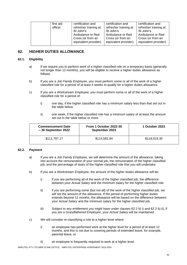|  | first aid<br>officer | certification and<br>refresher training at<br>St John's        | certification and<br>refresher training at<br>St John's        | certification and<br>refresher training at<br>St John's        |
|--|----------------------|----------------------------------------------------------------|----------------------------------------------------------------|----------------------------------------------------------------|
|  |                      | Ambulance or Red<br>Cross (or from an<br>equivalent provider). | Ambulance or Red<br>Cross (or from an<br>equivalent provider). | Ambulance or Red<br>Cross (or from an<br>equivalent provider). |

# **62. HIGHER DUTIES ALLOWANCE**

#### **62.1. Eligibility**

- a) If *we* require *you* to perform work of a higher classified role on a temporary basis (generally not longer than 12 months), *you* will be eligible to receive a higher duties allowance as follows.
- b) If *you* are a *Job Family Employee, you* must perform some or all of the work of a higher classified role for a period of at least 4 weeks to qualify for a higher duties allowance.
- c) If *you* are a *Workstream Employee, you* must perform some or all of the work of a higher classified role for a period of:
	- i) one day, if the higher classified role has a minimum salary less than that set out in the table below.
	- ii) one week, if the higher classified role has a minimum salary of at least the amount set out in the table below or more.

| <b>Commencement Date</b><br>$-30$ September 2022 | From 1 October 2022-30<br>September 2023 | 1 October 2023 |  |
|--------------------------------------------------|------------------------------------------|----------------|--|
| \$111,787.17                                     | \$114,581.84                             | \$118,019.30   |  |

#### **62.2. Payment**

- a) If *you* are a *Job Family Employee*, *we* will determine the amount of the allowance, taking into account the remuneration of your normal job, the remuneration of the higher classified job, and the percentage of tasks of the higher classified role that *you* will undertake.
- b) If *you* are a *Workstream Employee*, the amount of the higher duties allowance will be:
	- i) if *you* are performing all of the work of the higher classified job, the difference between your *Actual Salary* and the minimum salary for the higher classified role.
	- ii) if *you* are performing some (but not all) of the work of the higher classified job, *we*  will set the amount of the allowance. If the period of performing higher duties extends beyond 12 months, the allowance will be based on the difference between your *Actual Salary* and the minimum salary for the higher classified job.
	- iii) Subject to any entitlement *you* might have under clauses 62.2 b) i) and 62.2 b) ii), if *you* are a *Grandfathered Employee*, your *Actual Salary* will be maintained.
- c) *We* will consider re-classifying a role to a higher level where:
	- i) an employee has performed work at the higher level for a period of at least 12 months, and this is not due to covering periods of extended leave, for example, parental leave, or
	- ii) an employee is frequently required to work at a higher level.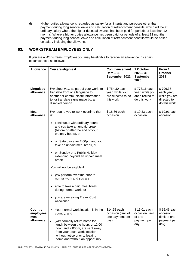d) Higher duties allowance is regarded as salary for all intents and purposes other than payment during long service leave and calculation of retrenchment benefits, which will be at ordinary salary where the higher duties allowance has been paid for periods of less than 12 months. Where a higher duties allowance has been paid for periods of at least 12 months, payment during long service leave and calculation of retrenchment benefits would be based on salary including the allowance.

# **63. WORKSTREAM EMPLOYEES ONLY**

If *you* are a *Workstream Employee you* may be eligible to receive an allowance in certain circumstances as follows:

| <b>Allowance</b>                          | You are eligible if:                                                                                                                                                                                                                                                                                                                                                                                                                                                                                                                                                                    | <b>Commencement</b><br>$Date - 30$<br>September 2022                | 1 October<br>$2022 - 30$<br><b>September</b><br>2023                | From 1<br><b>October</b><br>2023                                       |
|-------------------------------------------|-----------------------------------------------------------------------------------------------------------------------------------------------------------------------------------------------------------------------------------------------------------------------------------------------------------------------------------------------------------------------------------------------------------------------------------------------------------------------------------------------------------------------------------------------------------------------------------------|---------------------------------------------------------------------|---------------------------------------------------------------------|------------------------------------------------------------------------|
| Linguistic<br>allowance                   | We direct you, as part of your work, to<br>translate from one language to<br>another or communicate information<br>to, or translate signs made by, a<br>disabled person                                                                                                                                                                                                                                                                                                                                                                                                                 | \$754.30 each<br>year, while you<br>are directed to do<br>this work | \$773.16 each<br>year, while you<br>are directed to<br>do this work | \$796.35<br>each year,<br>while you are<br>directed to<br>do this work |
| <b>Meal</b><br>allowance                  | We require you to work overtime that<br>is:<br>continuous with ordinary hours<br>$\bullet$<br>and you take an unpaid break<br>(before or after the end of your<br>ordinary hours), or<br>on Saturday after 2:00pm and you<br>$\bullet$<br>take an unpaid meal break, or<br>on Sunday or a Public Holiday<br>$\bullet$<br>extending beyond an unpaid meal<br>break.<br>You will not be eligible if:<br>you perform overtime prior to<br>normal work and you are:<br>able to take a paid meal break<br>$\bullet$<br>during normal work, or<br>you are receiving Travel Cost<br>Allowance. | \$18.86 each<br>occasion                                            | \$19.33 each<br>occasion                                            | \$19.91 each<br>occasion                                               |
| Country<br>employees<br>meal<br>allowance | Your normal work location is in the<br>country; and<br>you normally return home for<br>$\bullet$<br>lunch between the hours of 12.00<br>noon and 2:00pm, are sent away<br>from your usual work location<br>without notice prior to leaving<br>home and without an opportunity                                                                                                                                                                                                                                                                                                           | \$14.65 each<br>occasion (limit of<br>one payment per<br>day)       | \$15.01 each<br>occasion (limit<br>of one<br>payment per<br>day)    | \$15.46 each<br>occasion<br>(limit of one<br>payment per<br>day)       |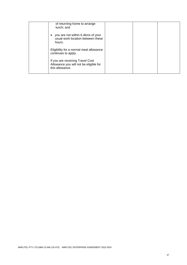| of returning home to arrange<br>lunch; and                                                    |  |  |
|-----------------------------------------------------------------------------------------------|--|--|
| you are not within 6.4kms of your<br>$\bullet$<br>usual work location between these<br>hours. |  |  |
| Eligibility for a normal meal allowance<br>continues to apply.                                |  |  |
| If you are receiving Travel Cost<br>Allowance you will not be eligible for<br>this allowance. |  |  |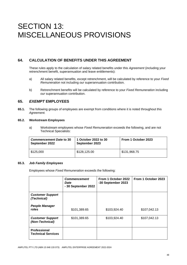# SECTION 13: MISCELLANEOUS PROVISIONS

# **64. CALCULATION OF BENEFITS UNDER THIS AGREEMENT**

These rules apply to the calculation of salary related benefits under this *Agreement* (including your retrenchment benefit, superannuation and leave entitlements):

- a) All salary related benefits, except retrenchment, will be calculated by reference to your *Fixed Remuneration* not including *our* superannuation contribution.
- b) Retrenchment benefits will be calculated by reference to your *Fixed Remuneration* including *our* superannuation contribution.

# **65.** *EXEMPT* **EMPLOYEES**

**65.1.** The following groups of employees are exempt from conditions where it is noted throughout this *Agreement.*

#### **65.2. Workstream Employees**

a) Workstream employees whose *Fixed Remuneration* exceeds the following, and are not Technical Specialists:

| <b>Commencement Date to 30</b><br>September 2022 | 1 October 2022 to 30<br>September 2023 | From 1 October 2023 |
|--------------------------------------------------|----------------------------------------|---------------------|
| \$125,000                                        | \$128,125.00                           | \$131,968.75        |

#### **65.3.** *Job Family Employees*

Employees whose *Fixed Remuneration* exceeds the following:

|                                                  | <b>Commencement</b><br>Date<br>- 30 September 2022 | From 1 October 2022<br>-30 September 2023 | From 1 October 2023 |
|--------------------------------------------------|----------------------------------------------------|-------------------------------------------|---------------------|
| <b>Customer Support</b><br>(Technical)           |                                                    |                                           |                     |
| <b>People Manager</b><br>roles                   | \$101,389.65                                       | \$103,924.40                              | \$107,042.13        |
| <b>Customer Support</b><br>(Non-Technical)       | \$101,389.65                                       | \$103,924.40                              | \$107,042.13        |
| <b>Professional</b><br><b>Technical Services</b> |                                                    |                                           |                     |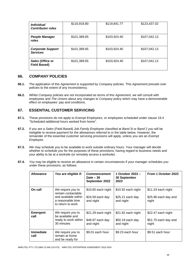| <i>Individual</i><br><b>Contributor roles</b> | \$116,918.80 | \$119,841.77 | \$123,437.02 |
|-----------------------------------------------|--------------|--------------|--------------|
| <b>People Manager</b><br>roles                | \$101,389.65 | \$103,924.40 | \$107,042.13 |
| <b>Corporate Support</b><br><b>Services</b>   | \$101,389.65 | \$103,924.40 | \$107,042.13 |
| Sales (Office or<br><b>Field Based)</b>       | \$101,389.65 | \$103,924.40 | \$107,042.13 |

# **66.** *COMPANY* **POLICIES**

- **66.1.** The application of this *Agreement* is supported by *Company* policies. This *Agreement* prevails over policies to the extent of any inconsistency.
- **66.2.** Whilst *Company* policies are not incorporated as terms of this *Agreement, we* will consult with employees and *The Unions* about any changes to *Company* policy which may have a demonstrable effect on employees' pay and conditions.

# **67. ESSENTIAL CUSTOMER SERVICING**

- **67.1.** These provisions do not apply to *Exempt Employees,* or employees scheduled under clause 19.4 "Scheduled additional hours worked from home".
- **67.2.** If *you* are a *Sales* (Field Based) *Job Family Employee* classified at *Band* 3i or *Band* 2 *you* will be ineligible to receive payment for the allowances referred to in the table below. However, the remainder of the essential customer servicing provisions will apply, unless *you* are an *Exempt Employee*.
- **67.3.** *We* may schedule *you* to be available to work outside ordinary hours. Your manager will decide whether to schedule *you* for the purposes of these provisions, having regard to business needs and your ability to be at a worksite (or remotely access a worksite).
- **67.4.** *You* may be eligible to receive an allowance in certain circumstances if your manager schedules *you* under these provisions, as follows:

| <b>Allowance</b>        | You are eligible if:                                                                                      | <b>Commencement</b><br>$Date - 30$<br>September 2022 | 1 October 2022 -<br>30 September<br>2023            | From 1 October 2023                                 |
|-------------------------|-----------------------------------------------------------------------------------------------------------|------------------------------------------------------|-----------------------------------------------------|-----------------------------------------------------|
| On call                 | We require you to<br>remain contactable<br>and available within<br>a reasonable time<br>to return to work | \$10.65 each night<br>$$24.59$ each day<br>and night | \$10.92 each night<br>\$25.21 each day<br>and night | \$11.24 each night<br>\$25.96 each day and<br>night |
| <b>Emergent</b><br>call | We require you to<br>be available and<br>ready to work within<br>30 minutes                               | \$21.29 each night<br>\$48.97 each day<br>and night  | \$21.82 each night<br>\$50.19 each day<br>and night | \$22.47 each night<br>\$51.70 each day and<br>night |
| Immediate<br>call       | We require you to<br>remain at home<br>and be ready for                                                   | \$9.01 each hour                                     | \$9.23 each hour                                    | \$9.51 each hour                                    |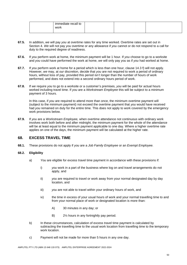| immediate recall to |  |  |
|---------------------|--|--|
| work                |  |  |
|                     |  |  |

- **67.5.** In addition, *we* will pay *you* at overtime rates for any time worked. Overtime rates are set out in Section 4. *We* will not pay *you* overtime or any allowance if *you* cannot or do not respond to a call for duty to the required degree of readiness.
- **67.6.** If *you* perform work at home, the minimum payment will be 1 hour. If *you* choose to go to a worksite and *you* could have performed the work at home, *we* will only pay *you* as if *you* had worked at home.
- **67.7.** If *you* perform work at home for a period which is less than one hour, clause 14.3 f) will not apply. However, *we* may, at *our* discretion, decide that *you* are not required to work a period of ordinary hours, without loss of pay, provided this period isn't longer than the number of hours of work performed, and does not extend into a second ordinary hours period of work.
- **67.8.** If *we* require *you* to go to a worksite or a customer's premises, *you* will be paid for actual hours worked including travel time. If *you* are a *Workstream Employee* this will be subject to a minimum payment of 3 hours.

In this case, if *you* are required to attend more than once, the minimum overtime payment will (subject to the minimum payment) not exceed the overtime payment that *you* would have received had *you* remained on duty for the entire time. This does not apply to work covered by the emergency work provisions below.

**67.9.** If *you* are a *Workstream Employee,* when overtime attendance not continuous with ordinary work involves work both before and after midnight, the minimum payment for the whole of the attendance will be at least equal to the minimum payment applicable to one day. Where a higher overtime rate applies on one of the days, the minimum payment will be calculated at the higher rate.

### **68. EXCESS TRAVEL TIME**

**68.1.** These provisions do not apply if *you* are a *Job Family Employee* or an *Exempt Employee.*

#### **68.2. Eligibility**

- a) *You* are eligible for excess travel time payment in accordance with these provisions if:
	- i) *you* work in a part of the business where log on and travel arrangements do not apply, and
	- ii) *you* are required to travel or work away from your normal designated day by day location, and
	- iii) *you* are not able to travel within your ordinary hours of work, and
	- iv) the time in excess of your usual hours of work and your normal travelling time to and from your normal place of work or designated location is more than:
		- A) 30 minutes in any day; or
		- B) 2½ hours in any fortnightly pay period.
- b) In these circumstances, calculation of excess travel time payment is calculated by subtracting the travelling time to the usual work location from travelling time to the temporary work location.
- c) Payment will not be made for more than 5 hours in any one day.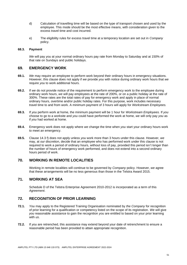- d) Calculation of travelling time will be based on the type of transport chosen and used by the employee. This mode should be the most effective means, with consideration given to the excess travel time and cost incurred.
- e) The eligibility rules for excess travel time at a temporary location are set out in *Company*  policy.

#### **68.3. Payment**

*We* will pay *you* at your normal ordinary hours pay rate from Monday to Saturday and at 150% of that rate on Sundays and public holidays.

#### **69. EMERGENCY WORK**

- **69.1.** *We* may require an employee to perform work beyond their ordinary hours in emergency situations. However, this clause does not apply if *we* provide *you* with notice during ordinary work hours that *we*  require *you* to work additional hours.
- **69.2.** If *we* do not provide notice of the requirement to perform emergency work to the employee during ordinary work hours, *we* will pay employees at the rate of 200%, or on a public holiday at the rate of 300%. These rates are the total rates of pay for emergency work and apply in place of normal ordinary hours, overtime and/or public holiday rates. For this purpose, work includes necessary travel time to and from work. A minimum payment of 3 hours will apply for *Workstream Employees.*
- **69.3.** If *you* perform work at home, the minimum payment will be 1 hour for *Workstream Employees.* If *you* choose to go to a worksite and *you* could have performed the work at home, *we* will only pay *you* as if *you* had worked at home.
- **69.4.** Emergency work does not apply where *we* change the time when *you* start your ordinary hours work to meet an emergency.
- **69.5.** Clause 14.3 f) does not apply unless *you* work more than 3 hours under this clause. However, *we*  may, at *our* discretion, decide that an employee who has performed work under this clause is not required to work a period of ordinary hours, without loss of pay, provided this period isn't longer than the number of hours of emergency work performed, and does not extend into a second ordinary hours period of work.

### **70. WORKING IN REMOTE LOCALITIES**

Working in remote localities will continue to be governed by *Company* policy. However, *we* agree that these arrangements will be no less generous than those in the Telstra Award 2015.

# **71. WORKING AT SEA**

Schedule D of the Telstra Enterprise Agreement 2010-2012 is incorporated as a term of this *Agreement*.

# **72. RECOGNITION OF PRIOR LEARNING**

- **72.1.** *You* may apply to the Registered Training Organisation nominated by *the Company* for recognition of prior learning for a qualification or competency listed on the scope of its registration. *We* will give *you* reasonable assistance to gain the recognition *you* are entitled to based on your prior learning with *us*.
- **72.2.** If *you* are retrenched, this assistance may extend beyond your date of retrenchment to ensure a reasonable period has been provided to attain appropriate recognition.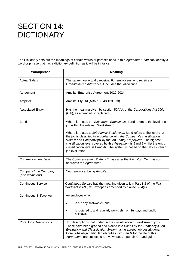# SECTION 14: **DICTIONARY**

The Dictionary sets out the meanings of certain words or phrases used in this *Agreement*. *You* can identify a word or phrase that has a dictionary definition as it will be in italics.

| Word/phrase                               | <b>Meaning</b>                                                                                                                                                                                                                                                                                                                                                                                    |
|-------------------------------------------|---------------------------------------------------------------------------------------------------------------------------------------------------------------------------------------------------------------------------------------------------------------------------------------------------------------------------------------------------------------------------------------------------|
| <b>Actual Salary</b>                      | The salary you actually receive. For employees who receive a<br>Grandfathered Allowance it includes that allowance.                                                                                                                                                                                                                                                                               |
| Agreement                                 | Amplitel Enterprise Agreement 2022-2024                                                                                                                                                                                                                                                                                                                                                           |
| Amplitel                                  | Amplitel Pty Ltd (ABN 15 648 133 073)                                                                                                                                                                                                                                                                                                                                                             |
| <b>Associated Entity</b>                  | Has the meaning given by section 50AAA of the Corporations Act 2001<br>(Cth), as amended or replaced.                                                                                                                                                                                                                                                                                             |
| Band                                      | Where it relates to Workstream Employees, Band refers to the level of a<br>job within the relevant Workstream.                                                                                                                                                                                                                                                                                    |
|                                           | Where it relates to Job Family Employees, Band refers to the level that<br>the job is classified in accordance with the Company's classification<br>system and Company policy for Job Family Employees. The highest<br>classification level covered by this Agreement is Band 2 whilst the entry<br>classification level is Band 4ii. The system is based on the Hay system of<br>job evaluation. |
| <b>Commencement Date</b>                  | The Commencement Date is 7 days after the Fair Work Commission<br>approves the Agreement.                                                                                                                                                                                                                                                                                                         |
| Company / the Company<br>(also we/us/our) | Your employer being Amplitel.                                                                                                                                                                                                                                                                                                                                                                     |
| <b>Continuous Service</b>                 | Continuous Service has the meaning given to it in Part 1-2 of the Fair<br>Work Act 2009 (Cth) except as amended by clause 52.4(e).                                                                                                                                                                                                                                                                |
| <b>Continuous Shiftworker</b>             | An employee who:<br>is a 7 day shiftworker, and<br>is rostered to and regularly works shift on Sundays and public<br>holidays.                                                                                                                                                                                                                                                                    |
| Core Jobs Descriptions                    | Job descriptions that underpin the classification of Workstream jobs.<br>These have been graded and placed into Bands by the Company's Job<br>Evaluation and Classification System using agreed job descriptions.<br>Core Jobs align particular job duties with Bands for the life of this<br>Agreement, are subject to a review (see Appendix C), and guide                                      |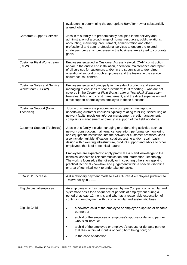|                                                        | evaluators in determining the appropriate Band for new or substantially<br>altered jobs.                                                                                                                                                                                                                                                                                                                                         |  |
|--------------------------------------------------------|----------------------------------------------------------------------------------------------------------------------------------------------------------------------------------------------------------------------------------------------------------------------------------------------------------------------------------------------------------------------------------------------------------------------------------|--|
| <b>Corporate Support Services</b>                      | Jobs in this family are predominantly occupied in the delivery and<br>administration of a broad range of human resources, public relations,<br>accounting, marketing, procurement, administration and other<br>professional and semi-professional services to ensure the related<br>strategies, programs, processes in the business are aligned to corporate<br>goals.                                                           |  |
| <b>Customer Field Workstream</b><br>(CFW)              | Employees engaged in Customer Access Network (CAN) construction<br>and/or in the end to end installation, operation, maintenance and repair<br>of all services for customers and/or in the supervision and/or direct<br>operational support of such employees and the testers in the service<br>assurance call centres.                                                                                                          |  |
| <b>Customer Sales and Service</b><br>Workstream (CSSW) | Employees engaged principally in: the sale of products and services;<br>managing of enquiries for our customers; fault reporting - who are not<br>covered in the Customer Field Workstream or Technical Workstream;<br>telesales; billing and credit management; and the direct supervision and<br>direct support of employees employed in these functions.                                                                      |  |
| <b>Customer Support (Non-</b><br>Technical)            | Jobs in this family are predominantly occupied in managing or<br>undertaking customer enquiries typically relating to billing, scheduling of<br>network faults, provisioning/order management, credit management,<br>complaints management or directly in support of the field workforce.                                                                                                                                        |  |
| <b>Customer Support (Technical)</b>                    | Jobs in this family include managing or undertaking activities such as<br>network construction, maintenance, operation, performance monitoring<br>and equipment installation into the network or customer premises. Jobs<br>also include fault identification, isolation, testing and/or repair, basic<br>design within existing infrastructure, product support and advice to other<br>employees that is of a technical nature. |  |
|                                                        | Employees are expected to apply practical skills and knowledge to the<br>technical aspects of Telecommunication and Information Technology.<br>The work is focused, either directly or in coaching others, on applying<br>practical technical know-how and judgement within a specific discipline<br>or area of technical work to undertake job tasks.                                                                           |  |
| ECA 2011 increase                                      | A discretionary payment made to ex-ECA Part A employees pursuant to<br>Telstra policy in 2011.                                                                                                                                                                                                                                                                                                                                   |  |
| Eligible casual employee                               | An employee who has been employed by the Company on a regular and<br>systematic basis for a sequence of periods of employment during a<br>period of at least 12 months and who has a reasonable expectation of<br>continuing employment with us on a regular and systematic basis.                                                                                                                                               |  |
| Eligible Child                                         | a newborn child of the employee or employee's spouse or de facto<br>partner; or                                                                                                                                                                                                                                                                                                                                                  |  |
|                                                        | a child of the employee or employee's spouse or de facto partner<br>who is stillborn; or                                                                                                                                                                                                                                                                                                                                         |  |
|                                                        | a child of the employee or employee's spouse or de facto partner<br>that dies within 24 months of being born being born; or                                                                                                                                                                                                                                                                                                      |  |
|                                                        | in the case of adoption:                                                                                                                                                                                                                                                                                                                                                                                                         |  |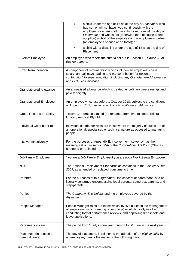|                                              | a child under the age of 16 as at the day of Placement who<br>has not, or will not have lived continuously with the<br>employee for a period of 6 months or more as at the day of<br>Placement and who is not (otherwise than because of the<br>adoption) a child of the employee or the employee's partner<br>(an employee's spouse or de facto); or, |
|----------------------------------------------|--------------------------------------------------------------------------------------------------------------------------------------------------------------------------------------------------------------------------------------------------------------------------------------------------------------------------------------------------------|
|                                              | a child with a disability under the age of 18 as at the day of<br>Placement.                                                                                                                                                                                                                                                                           |
| <b>Exempt Employee</b>                       | An employee who meets the criteria set out in Section 13, clause 65 of<br>this Agreement.                                                                                                                                                                                                                                                              |
| <b>Fixed Remuneration</b>                    | A component of remuneration which includes an employee's base<br>salary, annual leave loading and our contribution (or notional<br>contribution) to superannuation, including any Grandfathered Allowance<br>and ECA 2011 increase.                                                                                                                    |
| <b>Grandfathered Allowance</b>               | An annualised allowance which is treated as ordinary time earnings and<br>paid fortnightly.                                                                                                                                                                                                                                                            |
| <b>Grandfathered Employee</b>                | An employee who, just before 1 October 2018, subject to the conditions<br>of Appendix C4.2, was in receipt of a Grandfathered Allowance.                                                                                                                                                                                                               |
| <b>Group Restructure Entity</b>              | Telstra Corporation Limited (as renamed from time to time), Telstra<br>Limited, Amplitel Pty Ltd.                                                                                                                                                                                                                                                      |
| Individual Contributor role                  | Individual contributor roles are those where the majority of duties are of<br>an operational, specialised or technical nature as opposed to managing<br>people.                                                                                                                                                                                        |
| Insolvent/Insolvency                         | For the purposes of Appendix E, insolvent or insolvency has the<br>meaning set out in section 95A of the Corporations Act 2001 (Cth), as<br>amended or replaced.                                                                                                                                                                                       |
| Job Family Employee                          | You are a Job Family Employee if you are not a Workstream Employee.                                                                                                                                                                                                                                                                                    |
| <b>NES</b>                                   | The National Employment Standards as contained in the Fair Work Act<br>2009, as amended or replaced from time to time.                                                                                                                                                                                                                                 |
| Parent/s                                     | For the purposes of this Agreement, the concept of parenthood is to be<br>liberally construed encompassing legal parents, same-sex parents, and<br>step-parents.                                                                                                                                                                                       |
| Parties                                      | The Company, The Unions and the employees covered by the<br>Agreement.                                                                                                                                                                                                                                                                                 |
| People Manager                               | People Manager roles are those which involve duties in the management<br>of employees, which (among other things) would typically involve<br>conducting formal performance reviews, and approving timesheets and<br>leave applications.                                                                                                                |
| Performance Year                             | The period from 1 July in one year through to 30 June in the next year.                                                                                                                                                                                                                                                                                |
| Placement (in relation to<br>parental leave) | The day of placement, in relation to the adoption of an eligible child by<br>an employee, means the earlier of the following days:                                                                                                                                                                                                                     |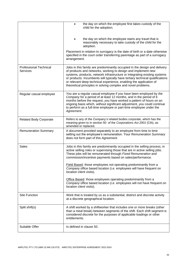|                                           | the day on which the employee first takes custody of the<br>child for the adoption;                                                                                                                                                                                                                                                                                                                                                             |
|-------------------------------------------|-------------------------------------------------------------------------------------------------------------------------------------------------------------------------------------------------------------------------------------------------------------------------------------------------------------------------------------------------------------------------------------------------------------------------------------------------|
|                                           | the day on which the employee starts any travel that is<br>reasonably necessary to take custody of the child for the<br>adoption.                                                                                                                                                                                                                                                                                                               |
|                                           | Placement in relation to surrogacy is the date of birth or a date otherwise<br>specified in the court order transferring parentage as part of a surrogacy<br>arrangement.                                                                                                                                                                                                                                                                       |
| <b>Professional Technical</b><br>Services | Jobs in this family are predominantly occupied in the design and delivery<br>of products and networks, working to design and implement new<br>systems, products, network infrastructure or integrating existing systems<br>or products. Incumbents will typically have tertiary technical qualifications<br>or relevant deep technical experience, enabling the application of<br>theoretical principles in solving complex and novel problems. |
| Regular casual employee                   | You are a regular casual employee if you have been employed by the<br>Company for a period of at least 12 months, and in the period of 6<br>months before the request, you have worked a pattern of hours on an<br>ongoing basis which, without significant adjustment, you could continue<br>to perform as a full-time employee or part-time employee under the<br>Agreement.                                                                  |
| <b>Related Body Corporate</b>             | Refers to any of the Company's related bodies corporate, which has the<br>meaning given to in section 50 of the Corporations Act 2001 (Cth), as<br>amended or replaced.                                                                                                                                                                                                                                                                         |
| <b>Remuneration Summary</b>               | A document provided separately to an employee from time to time<br>setting out the employee's remuneration. Your Remuneration Summary<br>does not form part of this Agreement.                                                                                                                                                                                                                                                                  |
| <b>Sales</b>                              | Jobs in this family are predominantly occupied in the selling process, in<br>active selling roles or supervising those that are in active selling jobs.<br>These jobs will be remunerated through Fixed Remuneration and<br>commission/incentive payments based on sales/performance.                                                                                                                                                           |
|                                           | Field Based: those employees not operating predominantly from a<br>Company office based location (i.e. employees will have frequent on<br>location client visits).                                                                                                                                                                                                                                                                              |
|                                           | Office Based: those employees operating predominantly from a<br>Company office based location (i.e. employees will not have frequent on<br>location client visits).                                                                                                                                                                                                                                                                             |
| <b>Site Function</b>                      | Work that is treated by us as a substantial, distinct and discrete activity<br>at a discrete geographical location.                                                                                                                                                                                                                                                                                                                             |
| Split shift(s)                            | A shift worked by a shiftworker that includes one or more breaks (other<br>than a meal break) between segments of the shift. Each shift segment is<br>considered discrete for the purposes of applicable loadings or other<br>entitlements.                                                                                                                                                                                                     |
| Suitable Offer                            | Is defined in clause 50.                                                                                                                                                                                                                                                                                                                                                                                                                        |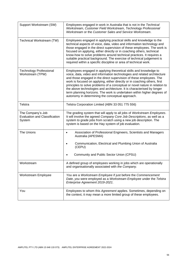| Support Workstream (SW)                                             | Employees engaged in work in Australia that is not in the Technical<br>Workstream, Customer Field Workstream, Technology Professional<br>Workstream or the Customer Sales and Service Workstream.                                                                                                                                                                                                                                                                                                                                                                                         |
|---------------------------------------------------------------------|-------------------------------------------------------------------------------------------------------------------------------------------------------------------------------------------------------------------------------------------------------------------------------------------------------------------------------------------------------------------------------------------------------------------------------------------------------------------------------------------------------------------------------------------------------------------------------------------|
| Technical Workstream (TW)                                           | Employees engaged in applying practical skills and knowledge to the<br>technical aspects of voice, data, video and information technology and<br>those engaged in the direct supervision of these employees. The work is<br>focused on applying, either directly or in coaching others, technical<br>know-how to solve problems around technical practices. It requires a<br>suitable practical background. The exercise of technical judgement is<br>required within a specific discipline or area of technical work.                                                                    |
| <b>Technology Professional</b><br>Workstream (TPW)                  | Employees engaged in applying theoretical skills and knowledge to<br>voice, data, video and information technologies and related architecture<br>and those engaged in the direct supervision of these employees. The<br>work is focused on applying, either directly or in coaching others, first<br>principles to solve problems of a conceptual or novel nature in relation to<br>the above technologies and architecture. It is characterised by longer<br>term planning horizons. The work is undertaken within higher degrees of<br>autonomy in determining the conceptual approach. |
| Telstra                                                             | Telstra Corporation Limited (ABN 33 051 775 556)                                                                                                                                                                                                                                                                                                                                                                                                                                                                                                                                          |
| The Company's Job<br><b>Evaluation and Classification</b><br>System | The grading system that will apply to all jobs of Workstream Employees.<br>It will involve the agreed Company Core Job Descriptions, as well as a<br>system to grade jobs from scratch using a new job description. The<br>system is based on the Hay system of job evaluation.                                                                                                                                                                                                                                                                                                           |
| The Unions                                                          | Association of Professional Engineers, Scientists and Managers<br>$\bullet$<br>Australia (APESMA)                                                                                                                                                                                                                                                                                                                                                                                                                                                                                         |
|                                                                     | Communication, Electrical and Plumbing Union of Australia<br>(CEPU)                                                                                                                                                                                                                                                                                                                                                                                                                                                                                                                       |
|                                                                     | Community and Public Sector Union (CPSU)                                                                                                                                                                                                                                                                                                                                                                                                                                                                                                                                                  |
| Workstream                                                          | A defined group of employees working in jobs which are operationally<br>and organisationally associated with the Company.                                                                                                                                                                                                                                                                                                                                                                                                                                                                 |
| Workstream Employee                                                 | You are a Workstream Employee if just before the Commencement<br>Date, you were employed as a Workstream Employee under the Telstra<br>Enterprise Agreement 2019-2021.                                                                                                                                                                                                                                                                                                                                                                                                                    |
| You                                                                 | Employees to whom this Agreement applies. Sometimes, depending on<br>the context, it may mean a more limited group of these employees.                                                                                                                                                                                                                                                                                                                                                                                                                                                    |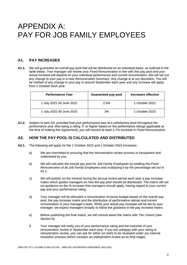# APPENDIX A: PAY FOR JOB FAMILY EMPLOYEES

# **A1. PAY INCREASES**

**A1.1.** *We* will guarantee an overall pay pool that will be distributed on an individual basis, as outlined in the table below. Your manager will review your *Fixed Remuneration* in line with this pay pool and your actual increase will depend on your individual performance and current remuneration. *We* will set out any change to your pay in a new *Remuneration Summary*. Any change is at *our* discretion. *You* will be notified of any change to your pay in around September each year and any increase will apply from 1 October each year.

| Performance Year         | <b>Guaranteed pay pool</b> | Increases effective |
|--------------------------|----------------------------|---------------------|
| 1 July 2021-30 June 2022 | 2.5%                       | 1 October 2022      |
| 1 July 2022-30 June 2023 | 3%                         | 1 October 2023      |

**A1.2.** Subject to item A3, provided that your performance was at a satisfactory level throughout the *performance year* (this being a rating '3' or higher based on the performance ratings applicable at the time of making this *Agreement*), *you* will receive at least a 1% increase in *Fixed Remuneration*.

# **A2. HOW THE PAY POOL IS CALCULATED AND DISTRIBUTED**

- **A2.1.** The following will apply for the 1 October 2022 and 1 October 2023 increases:
	- a) *We* are committed to ensuring that the remuneration review process is transparent and understood by *you*.
	- b) *We* will calculate the overall pay pool for *Job Family Employees* by totalling the *Fixed Remuneration* of all *Job Family Employees* and multiplying it by the percentage set out in A1.1.
	- c) *We* will publish on the intranet during the annual review period each year a pay increase matrix which guides managers on how the pay pool should be distributed. The matrix will set out guidance on the % increase that managers should apply, having regard to your current pay and your performance rating.
	- d) Your manager will be allocated a remuneration increase budget based on the overall pay pool, the pay increase matrix and the distribution of performance ratings and current remuneration in your manager's team. While your actual pay increase will be set by your manager, *we* expect managers broadly to follow the guidance in the pay increase matrix.
	- e) Before publishing the final matrix, *we* will consult about the matrix with *The Unions* (see Section 6).
	- f) Your manager will notify *you* of your performance rating and the outcome of your remuneration review in September each year. If *you* are unhappy with your rating or remuneration review, *you* can ask for either (or both) to be reviewed under *our* internal resolution process (which includes an independent review as its final stage).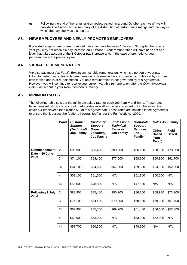g) Following the end of the remuneration review period (in around October each year) *we* will provide *The Unions* with a summary of the distribution of performance ratings and the way in which the pay pool was distributed.

# **A3. NEW EMPLOYEES AND NEWLY PROMOTED EMPLOYEES**

If *you* start employment or are promoted into a new role between 1 July and 30 September in any year *you* may not receive a pay increase on 1 October. Your remuneration will have been set at a level that takes account of the 1 October pay increase and, in the case of promotions, your performance in the previous year.

# **A4. VARIABLE REMUNERATION**

*We* also pay most *Job Family Employees* variable remuneration, which is a portion of your pay linked to performance. Variable remuneration is determined in accordance with rules set by *us* from time to time and is at *our* discretion. Variable remuneration is not governed by this *Agreement*. However, *you* will continue to receive your current variable remuneration after the *Commencement Date* – as set out in your *Remuneration Summary*.

# **A5. MINIMUM RATES**

The following table sets out the minimum salary rate for each Job Family and *Band*. These rates have been set taking into account market rates as well as the pay rates set out in the award that cover *our* employees (see clause 5.3 of this *Agreement*). These rates are included in the *Agreement*  to ensure that it passes the "better off overall test" under the Fair Work Act 2009.

|                                       | <b>Band</b>    | <b>Customer</b><br><b>Support</b> | <b>Customer</b><br><b>Support</b>               | <b>Professional</b><br><b>Technical</b><br><b>Services</b><br><b>Job Family</b> | Corporate<br><b>Support</b><br><b>Services</b><br>Job<br><b>Family</b> | <b>Sales Job Family</b>                           |                              |
|---------------------------------------|----------------|-----------------------------------|-------------------------------------------------|---------------------------------------------------------------------------------|------------------------------------------------------------------------|---------------------------------------------------|------------------------------|
|                                       |                | (Technical)<br><b>Job Family</b>  | (Non-<br><b>Technical)</b><br><b>Job Family</b> |                                                                                 |                                                                        | <b>Office</b><br><b>Based</b><br>(Non-<br>Retail) | <b>Field</b><br><b>Based</b> |
| <b>Commencement</b><br>Date - 30 June | $\overline{2}$ | \$88,900                          | \$85,400                                        | \$90,200                                                                        | \$86,100                                                               | \$68,900                                          | \$73,900                     |
| 2023                                  | 3i             | \$74,100                          | \$64,400                                        | \$77,000                                                                        | \$68,500                                                               | \$59,900                                          | \$61,700                     |
|                                       | 3ii            | \$61,100                          | \$54,600                                        | \$67,200                                                                        | \$59,600                                                               | \$54,900                                          | \$52,000                     |
|                                       | 4i             | \$59,100                          | \$51,500                                        | N/A                                                                             | \$51,800                                                               | \$50,500                                          | N/A                          |
|                                       | 4ii            | \$56,000                          | \$48,800                                        | N/A                                                                             | \$47,500                                                               | N/A                                               | N/A                          |
| <b>Following 1 July</b><br>2023       | $\overline{2}$ | \$88,900                          | \$85,400                                        | \$90,200                                                                        | \$86,100                                                               | \$68,900                                          | \$73,900                     |
|                                       | 3i             | \$74,100                          | \$64,400                                        | \$79,300                                                                        | \$68,500                                                               | \$59,900                                          | \$61,700                     |
|                                       | 3ii            | \$62,900                          | \$55,700                                        | \$69,200                                                                        | \$61,400                                                               | \$56,600                                          | \$53,600                     |
|                                       | 4i             | \$60,900                          | \$53,000                                        | N/A                                                                             | \$53,300                                                               | \$52,000                                          | N/A                          |
|                                       | 4ii            | \$57,700                          | \$50,300                                        | N/A                                                                             | \$48,900                                                               | N/A                                               | N/A                          |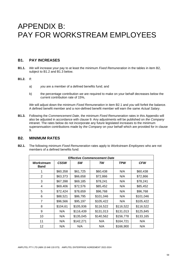# APPENDIX B: PAY FOR WORKSTREAM EMPLOYEES

# **B1. PAY INCREASES**

**B1.1.** *We* will increase your pay to at least the minimum *Fixed Remuneration* in the tables in item B2, subject to B1.2 and B1.3 below.

#### **B1.2.** If:

- a) *you* are a member of a defined benefits fund; and
- b) the percentage contribution *we* are required to make on your behalf decreases below the current contribution rate of 15%,

*We* will adjust down the minimum *Fixed Remuneration* in item B2.1 and *you* will forfeit the balance. A defined benefit member and a non-defined benefit member will earn the same *Actual Salary*.

**B1.3.** Following the *Commencement Date*, the minimum *Fixed Remuneration* rates in this Appendix will also be adjusted in accordance with clause 9. Any adjustments will be published on *the Company* intranet. The rates below do not incorporate any future legislated increases to the minimum superannuation contributions made by *the Company* on your behalf which are provided for in clause 9.

### **B2. MINIMUM RATES**

**B2.1.** The following minimum *Fixed Remuneration* rates apply to *Workstream Employees* who are not members of a defined benefits fund:

| <b>Effective Commencement Date</b> |             |           |           |            |            |  |  |
|------------------------------------|-------------|-----------|-----------|------------|------------|--|--|
| Workstream<br>Band                 | <b>CSSW</b> | SW        | TW        | <b>TPW</b> | <b>CFW</b> |  |  |
|                                    | \$60,358    | \$61,725  | \$60,438  | N/A        | \$60,438   |  |  |
| 2                                  | \$63,373    | \$66,658  | \$72,866  | N/A        | \$72,866   |  |  |
| 3                                  | \$67,398    | \$69,185  | \$78,241  | N/A        | \$78,241   |  |  |
| 4                                  | \$69,406    | \$72,576  | \$85,452  | N/A        | \$85,452   |  |  |
| 5                                  | \$72,424    | \$78,659  | \$96,768  | N/A        | \$96,768   |  |  |
| 6                                  | \$88,521    | \$86,795  | \$101,046 | N/A        | \$101,046  |  |  |
| 7                                  | \$96,566    | \$95,197  | \$105,422 | N/A        | \$105,422  |  |  |
| 8                                  | \$104,61    | \$105,936 | \$116,522 | \$116,522  | \$116,522  |  |  |
| 9                                  | N/A         | \$116,439 | \$131,013 | \$131,013  | \$125,845  |  |  |
| 10                                 | N/A         | \$135,045 | \$140,562 | \$156,778  | \$133,165  |  |  |
| 11                                 | N/A         | \$142,271 | N/A       | \$164,721  | N/A        |  |  |
| 12                                 | N/A         | N/A       | N/A       | \$166,900  | N/A        |  |  |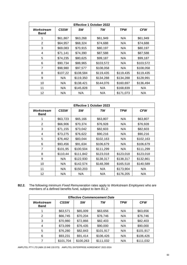| <b>Effective 1 October 2022</b> |             |           |           |           |            |  |  |
|---------------------------------|-------------|-----------|-----------|-----------|------------|--|--|
| Workstream<br>Band              | <b>CSSW</b> | SW        | TW        | TPW       | <b>CFW</b> |  |  |
|                                 | \$61,867    | \$63,268  | \$61,949  | N/A       | \$61,949   |  |  |
| 2                               | \$64,957    | \$68,324  | \$74,688  | N/A       | \$74,688   |  |  |
| 3                               | \$69,083    | \$70,915  | \$80,197  | N/A       | \$80,197   |  |  |
| 4                               | \$71,141    | \$74,390  | \$87,588  | N/A       | \$87,588   |  |  |
| 5                               | \$74,235    | \$80,625  | \$99,187  | N/A       | \$99,187   |  |  |
| 6                               | \$90,734    | \$88,965  | \$103,572 | N/A       | \$103,572  |  |  |
| $\overline{7}$                  | \$98,980    | \$97,577  | \$108,058 | N/A       | \$108,058  |  |  |
| 8                               | \$107,22    | \$108,584 | \$119,435 | \$119,435 | \$119,435  |  |  |
| 9                               | N/A         | \$119,350 | \$134,288 | \$134,288 | \$128,991  |  |  |
| 10                              | N/A         | \$138,421 | \$144,076 | \$160,697 | \$136,494  |  |  |
| 11                              | N/A         | \$145,828 | N/A       | \$168,839 | N/A        |  |  |
| 12                              | N/A         | N/A       | N/A       | \$171,073 | N/A        |  |  |

| <b>Effective 1 October 2023</b> |             |           |           |            |            |  |
|---------------------------------|-------------|-----------|-----------|------------|------------|--|
| Workstream<br><b>Band</b>       | <b>CSSW</b> | SW        | TW        | <b>TPW</b> | <b>CFW</b> |  |
| 1                               | \$63,723    | \$65,166  | \$63,807  | N/A        | \$63,807   |  |
| 2                               | \$66,906    | \$70,374  | \$76,928  | N/A        | \$76,928   |  |
| 3                               | \$71,155    | \$73,042  | \$82,603  | N/A        | \$82,603   |  |
| 4                               | \$73,275    | \$76,622  | \$90,216  | N/A        | \$90,216   |  |
| 5                               | \$76,462    | \$83,044  | \$102,163 | N/A        | \$102,163  |  |
| 6                               | \$93,456    | \$91,634  | \$106,679 | N/A        | \$106,679  |  |
| $\overline{7}$                  | \$101,95    | \$100,504 | \$111,299 | N/A        | \$111,299  |  |
| 8                               | \$110,44    | \$111,842 | \$123,018 | \$123,018  | \$123,018  |  |
| 9                               | N/A         | \$122,930 | \$138,317 | \$138,317  | \$132,861  |  |
| 10                              | N/A         | \$142,574 | \$148,398 | \$165,518  | \$140,589  |  |
| 11                              | N/A         | \$150,203 | N/A       | \$173,904  | N/A        |  |
| 12                              | N/A         | N/A       | N/A       | \$176,205  | N/A        |  |

**B2.2.** The following minimum *Fixed Remuneration* rates apply to *Workstream Employees* who are members of a defined benefits fund, subject to item B1.2:

| <b>Effective Commencement Date</b> |             |           |           |            |            |  |  |
|------------------------------------|-------------|-----------|-----------|------------|------------|--|--|
| Workstream<br>Band                 | <b>CSSW</b> | <b>SW</b> | TW        | <b>TPW</b> | <b>CFW</b> |  |  |
|                                    | \$63,571    | \$65,009  | \$63,656  | N/A        | \$63,656   |  |  |
| 2                                  | \$66,745    | \$70,204  | \$76,746  | N/A        | \$76,746   |  |  |
| 3                                  | \$70,980    | \$72,866  | \$82,403  | N/A        | \$82,403   |  |  |
| 4                                  | \$73,099    | \$76,435  | \$90,000  | N/A        | \$90,000   |  |  |
| 5                                  | \$76,280    | \$82,843  | \$101,917 | N/A        | \$101,917  |  |  |
| 6                                  | \$93,231    | \$91,414  | \$106,426 | N/A        | \$106,426  |  |  |
|                                    | \$101,704   | \$100,263 | \$111,032 | N/A        | \$111,032  |  |  |

AMPLITEL PTY LTD (ABN 15 648 133 073) AMPLITEL ENTERPRISE AGREEMENT 2022-2024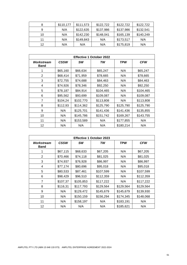| 8  | \$110,177 | \$111,573 | \$122,722 | \$122,722 | \$122,722 |
|----|-----------|-----------|-----------|-----------|-----------|
| 9  | N/A       | \$122,635 | \$137,986 | \$137,986 | \$132,541 |
| 10 | N/A       | \$142,230 | \$148,041 | \$165,139 | \$140,249 |
| 11 | N/A       | \$149,843 | N/A       | \$173,517 | N/A       |
| 12 | N/A       | N/A       | N/A       | \$175,819 | N/A       |

| <b>Effective 1 October 2022</b> |             |           |           |            |            |  |  |
|---------------------------------|-------------|-----------|-----------|------------|------------|--|--|
| Workstream<br><b>Band</b>       | <b>CSSW</b> | SW        | TW        | <b>TPW</b> | <b>CFW</b> |  |  |
|                                 | \$65,160    | \$66,634  | \$65,247  | N/A        | \$65,247   |  |  |
| 2                               | \$68,414    | \$71,959  | \$78,665  | N/A        | \$78,665   |  |  |
| 3                               | \$72,755    | \$74,688  | \$84,463  | N/A        | \$84,463   |  |  |
| 4                               | \$74,926    | \$78,346  | \$92,250  | N/A        | \$92,250   |  |  |
| 5                               | \$78,187    | \$84,914  | \$104,465 | N/A        | \$104,465  |  |  |
| 6                               | \$95,562    | \$93,699  | \$109,087 | N/A        | \$109,087  |  |  |
| $\overline{7}$                  | \$104,24    | \$102,770 | \$113,808 | N/A        | \$113,808  |  |  |
| 8                               | \$112,93    | \$114,362 | \$125,790 | \$125,790  | \$125,790  |  |  |
| 9                               | N/A         | \$125,701 | \$141,436 | \$141,436  | \$135,855  |  |  |
| 10                              | N/A         | \$145,786 | \$151,742 | \$169,267  | \$143,755  |  |  |
| 11                              | N/A         | \$153,589 | N/A       | \$177,855  | N/A        |  |  |
| 12                              | N/A         | N/A       | N/A       | \$180,214  | N/A        |  |  |

| <b>Effective 1 October 2023</b> |             |           |           |           |            |  |  |
|---------------------------------|-------------|-----------|-----------|-----------|------------|--|--|
| Workstream<br>Band              | <b>CSSW</b> | SW        | TW        | TPW       | <b>CFW</b> |  |  |
|                                 | \$67,115    | \$68,633  | \$67,205  | N/A       | \$67,205   |  |  |
| 2                               | \$70,466    | \$74,118  | \$81,025  | N/A       | \$81,025   |  |  |
| 3                               | \$74,937    | \$76,928  | \$86,997  | N/A       | \$86,997   |  |  |
| 4                               | \$77,174    | \$80,696  | \$95,018  | N/A       | \$95,018   |  |  |
| 5                               | \$80,533    | \$87,461  | \$107,599 | N/A       | \$107,599  |  |  |
| 6                               | \$98,429    | \$96,510  | \$112,359 | N/A       | \$112,359  |  |  |
| $\overline{7}$                  | \$107,37    | \$105,853 | \$117,222 | N/A       | \$117,222  |  |  |
| 8                               | \$116,31    | \$117,793 | \$129,564 | \$129,564 | \$129,564  |  |  |
| 9                               | N/A         | \$129,472 | \$145,679 | \$145,679 | \$139,930  |  |  |
| 10                              | N/A         | \$150,159 | \$156,294 | \$174,345 | \$148,068  |  |  |
| 11                              | N/A         | \$158,197 | N/A       | \$183,191 | N/A        |  |  |
| 12                              | N/A         | N/A       | N/A       | \$185,621 | N/A        |  |  |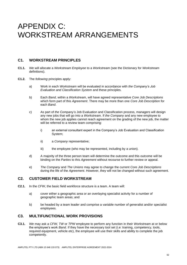# APPENDIX C: WORKSTREAM ARRANGEMENTS

# **C1. WORKSTREAM PRINCIPLES**

- **C1.1.** *We* will allocate a *Workstream Employee* to a *Workstream* (see the Dictionary for *Workstream*  definitions).
- **C1.2.** The *following* principles apply:
	- a) Work in each *Workstream* will be evaluated in accordance with *the Company's Job Evaluation and Classification System* and these principles.
	- b) Each *Band*, within a *Workstream*, will have agreed representative *Core Job Descriptions* which form part of this *Agreement*. There may be more than one *Core Job Description* for each *Band*.
	- c) As part of *the Company's* Job Evaluation and Classification process, managers will design any new jobs that will go into a *Workstream*. If *the Company* and any new employee to whom the new job applies cannot reach agreement on the grading of the new job, the matter will be referred to a review team comprising:
		- i) an external consultant expert in the Company's Job Evaluation and Classification System;
		- ii) a *Company* representative;
		- iii) the employee (who may be represented, including by a union).
	- d) A majority of the three person team will determine the outcome and this outcome will be binding on the *Parties* to this *Agreement* without recourse to further review or appeal.
	- e) *The Company* and *The Unions* may agree to change the current *Core Job Descriptions* during the life of the *Agreement*. However, they will not be changed without such agreement.

# **C2. CUSTOMER FIELD WORKSTREAM**

- **C2.1.** In the *CFW*, the basic field workforce structure is a team. A team will:
	- a) cover either a geographic area or an overlaying specialist activity for a number of geographic team areas; and
	- b) be headed by a team leader and comprise a variable number of generalist and/or specialist employees.

### **C3. MULTIFUNCTIONAL WORK PROVISIONS**

**C3.1.** *We* may ask a *CFW*, *TW* or *TPW* employee to perform any function in their *Workstream* at or below the employee's work *Band*. If they have the necessary tool set (i.e: training, competency, tools, required equipment, vehicle etc), the employee will use their skills and ability to complete the job competently.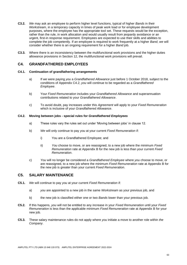- **C3.2.** *We* may ask an employee to perform higher level functions, typical of higher *Bands* in their *Workstream*, in a temporary capacity in times of peak work load or for employee development purposes, where the employee has the appropriate tool set. These requests would be the exception, rather than the rule, in work allocation and would usually result from jeopardy avoidance or an urgent, first-in response requirement. Employees are expected to use their skills and abilities to complete the job competently. If an employee is required to work frequently at a higher *Band*, *we* will consider whether there is an ongoing requirement for a higher *Band* job.
- **C3.3.** Where there is an inconsistency between the multifunctional work provisions and the higher duties allowance provisions in Section 12, the multifunctional work provisions will prevail.

# **C4. GRANDFATHERED EMPLOYEES**

#### **C4.1. Continuation of grandfathering arrangements**

- a) If *we* were paying *you* a *Grandfathered Allowance* just before 1 October 2018, subject to the conditions of Appendix C4.2, *you* will continue to be regarded as a *Grandfathered Employee*.
- b) Your *Fixed Remuneration* includes your *Grandfathered Allowance* and superannuation contributions related to your *Grandfathered Allowance*.
- c) To avoid doubt, pay increases under this *Agreement* will apply to your *Fixed Remuneration*  which is inclusive of your *Grandfathered Allowance*.

#### **C4.2. Moving between jobs - special rules for** *Grandfathered Employees*

- a) These rules vary the rules set out under 'Moving between jobs' in clause 12.
- b) *We* will only continue to pay *you* at your current *Fixed Remuneration* if:
	- i) You are a Grandfathered Employee; and
	- ii) *You* choose to move, or are reassigned, to a new job where the minimum *Fixed Remuneration* rate at Appendix B for the new job is less than your current *Fixed Remuneration*.
- c) *You* will no longer be considered a *Grandfathered Employee* where *you* choose to move, or are reassigned, to a new job where the minimum *Fixed Remuneration* rate at Appendix B for the new job is greater than your current *Fixed Remuneration*.

### **C5. SALARY MAINTENANCE**

- **C5.1.** *We* will continue to pay *you* at your current *Fixed Remuneration* if:
	- a) *you* are appointed to a new job in the same *Workstream* as your previous job, and
	- b) the new job is classified either one or two *Bands* lower than your previous job.
- **C5.2.** If this happens, *you* will not be entitled to any increase in your *Fixed Remuneration* until your *Fixed Remuneration* is less than the applicable minimum *Fixed Remuneration* rate at Appendix B for your new job.
- **C5.3.** These salary maintenance rules do not apply where *you* initiate a move to another role within *the Company*.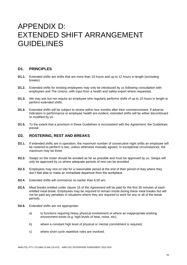# APPENDIX D: EXTENDED SHIFT ARRANGEMENT GUIDELINES

# **D1. PRINCIPLES**

- **D1.1.** Extended shifts are shifts that are more than 10 hours and up to 12 hours in length (excluding breaks).
- **D1.2.** Extended shifts for existing employees may only be introduced by *us* following consultation with employees and *The Unions*, with input from a health and safety expert where requested.
- **D1.3.** *We* may ask but not require an employee who regularly performs shifts of up to 10 hours in length to perform extended shifts.
- **D1.4.** Extended shifts will be subject to review within four months after their commencement. If adverse indicators in performance or employee health are evident, extended shifts will be either discontinued or modified by *us*.
- **D1.5.** To the extent that a provision in these Guidelines is inconsistent with the *Agreement*, the Guidelines prevail.

### **D2. ROSTERING, REST AND BREAKS**

- **D2.1.** If extended shifts are in operation, the maximum number of consecutive night shifts an employee will be rostered to perform is two, unless otherwise mutually agreed. In exceptional circumstances, the maximum may be three.
- **D2.2.** Swaps on the roster should be avoided as far as possible and must be approved by *us*. Swaps will only be approved by *us* where adequate periods of rest can be provided
- **D2.3.** Employees may rest on site for a reasonable period at the end of their period of duty where they don't feel able to make an immediate departure from the workplace.
- **D2.4.** Extended shifts will commence no earlier than 6.00 am.
- **D2.5.** Meal breaks entitled under clause 16 of the *Agreement* will be paid for the first 30 minutes of each entitled meal break. Employees may be required to remain onsite during these meal breaks but will not be paid any penalties in situations where they are required to work for any or all of the break periods.
- **D2.6.** Extended shifts are not appropriate:
	- a) to functions requiring heavy physical involvement or where an inappropriate working environment exists (e.g: high levels of heat, noise, etc);
	- b) where a constant high level of physical or mental commitment is required;
	- c) where short cycle repetitive roles are involved.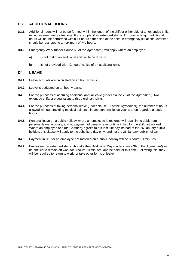# **D3. ADDITIONAL HOURS**

- **D3.1.** Additional hours will not be performed within the length of the shift or either side of an extended shift, except in emergency situations. For example, if an extended shift is 11 hours in length, additional hours will not be performed within 11 hours either side of the shift. In emergency situations, overtime should be restricted to a maximum of two hours.
- **D3.2.** Emergency Work (under clause 69 of the *Agreement*) will apply where an employee:
	- a) is not told of an additional shift while on duty, or
	- b) is not provided with 12 hours' notice of an additional shift.

### **D4. LEAVE**

- **D4.1.** Leave accruals are calculated on an hourly basis.
- **D4.2.** Leave is deducted on an hourly basis.
- **D4.3.** For the purposes of accruing additional annual leave (under clause 29 of the *Agreement*), two extended shifts are equivalent to three ordinary shifts.
- **D4.4.** For the purposes of taking personal leave (under clause 31 of the *Agreement*), the number of hours allowed without providing medical evidence in any personal leave year is to be regarded as 36¾ hours.
- **D4.5.** Personal leave on a public holiday where an employee is rostered will result in no debit from personal leave accruals, and no payment of penalty rates or time in lieu for the shift not worked. Where an employee and *the Company* agrees to a substitute day instead of the 26 January public holiday, this clause will apply to the substitute day only, and not the 26 January public holiday.
- **D4.6.** Payment in lieu for an employee not rostered on a public holiday will be 8 hours 10 minutes.
- **D4.7.** Employees on extended shifts who take their Additional Day (under clause 39 of the *Agreement*) will be entitled to remain off work for 8 hours 10 minutes, and be paid for this time. Following this, they will be required to return to work, or take other forms of leave.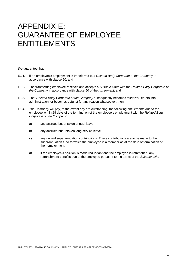# APPENDIX E: GUARANTEE OF EMPLOYEE ENTITLEMENTS

*We* guarantee that:

- **E1.1.** If an employee's employment is transferred to a *Related Body Corporate* of *the Company* in accordance with clause 50; and
- **E1.2.** The transferring employee receives and accepts a *Suitable Offer* with the *Related Body Corporate* of *the Company* in accordance with clause 50 of the *Agreement*; and
- **E1.3.** That *Related Body Corporate* of *the Company* subsequently becomes *insolvent*, enters into administration, or becomes defunct for any reason whatsoever; then
- **E1.4.** *The Company* will pay, to the extent any are outstanding, the following entitlements due to the employee within 28 days of the termination of the employee's employment with the *Related Body Corporate* of *the Company*:
	- a) any accrued but untaken annual leave;
	- b) any accrued but untaken long service leave;
	- c) any unpaid superannuation contributions. These contributions are to be made to the superannuation fund to which the employee is a member as at the date of termination of their employment;
	- d) if the employee's position is made redundant and the employee is retrenched, any retrenchment benefits due to the employee pursuant to the terms of the *Suitable Offer*.